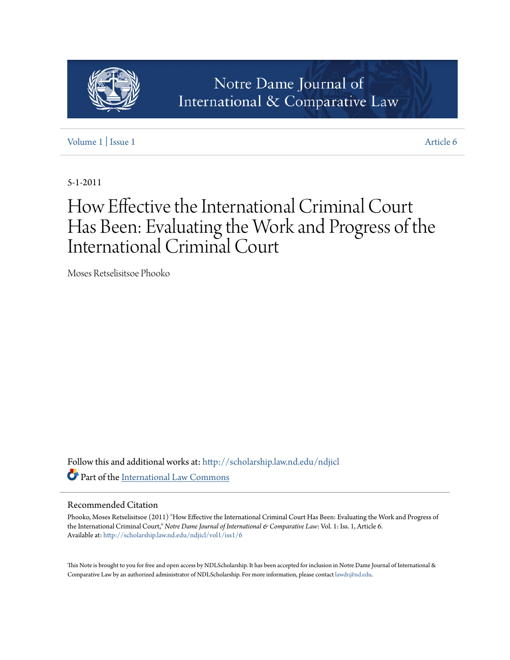

[Volume 1](http://scholarship.law.nd.edu/ndjicl/vol1?utm_source=scholarship.law.nd.edu%2Fndjicl%2Fvol1%2Fiss1%2F6&utm_medium=PDF&utm_campaign=PDFCoverPages) | [Issue 1](http://scholarship.law.nd.edu/ndjicl/vol1/iss1?utm_source=scholarship.law.nd.edu%2Fndjicl%2Fvol1%2Fiss1%2F6&utm_medium=PDF&utm_campaign=PDFCoverPages) [Article 6](http://scholarship.law.nd.edu/ndjicl/vol1/iss1/6?utm_source=scholarship.law.nd.edu%2Fndjicl%2Fvol1%2Fiss1%2F6&utm_medium=PDF&utm_campaign=PDFCoverPages)

5-1-2011

# How Effective the International Criminal Court Has Been: Evaluating the Work and Progress of the International Criminal Court

Moses Retselisitsoe Phooko

Follow this and additional works at: [http://scholarship.law.nd.edu/ndjicl](http://scholarship.law.nd.edu/ndjicl?utm_source=scholarship.law.nd.edu%2Fndjicl%2Fvol1%2Fiss1%2F6&utm_medium=PDF&utm_campaign=PDFCoverPages) Part of the [International Law Commons](http://network.bepress.com/hgg/discipline/609?utm_source=scholarship.law.nd.edu%2Fndjicl%2Fvol1%2Fiss1%2F6&utm_medium=PDF&utm_campaign=PDFCoverPages)

# Recommended Citation

Phooko, Moses Retselisitsoe (2011) "How Effective the International Criminal Court Has Been: Evaluating the Work and Progress of the International Criminal Court," *Notre Dame Journal of International & Comparative Law*: Vol. 1: Iss. 1, Article 6. Available at: [http://scholarship.law.nd.edu/ndjicl/vol1/iss1/6](http://scholarship.law.nd.edu/ndjicl/vol1/iss1/6?utm_source=scholarship.law.nd.edu%2Fndjicl%2Fvol1%2Fiss1%2F6&utm_medium=PDF&utm_campaign=PDFCoverPages)

This Note is brought to you for free and open access by NDLScholarship. It has been accepted for inclusion in Notre Dame Journal of International & Comparative Law by an authorized administrator of NDLScholarship. For more information, please contact [lawdr@nd.edu](mailto:lawdr@nd.edu).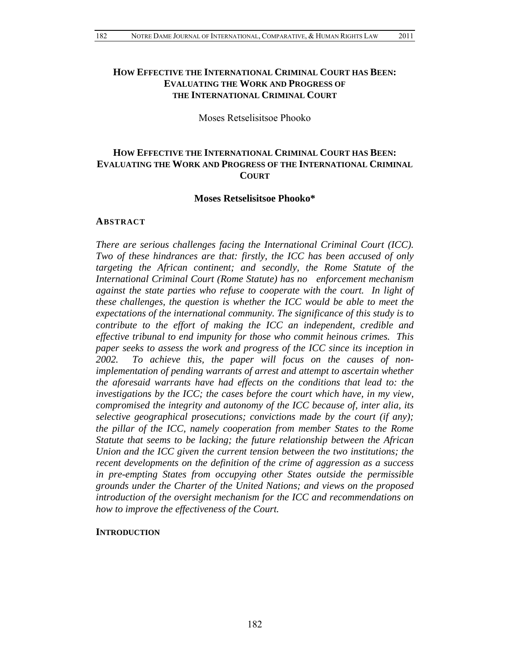# **HOW EFFECTIVE THE INTERNATIONAL CRIMINAL COURT HAS BEEN: EVALUATING THE WORK AND PROGRESS OF THE INTERNATIONAL CRIMINAL COURT**

#### Moses Retselisitsoe Phooko

# **HOW EFFECTIVE THE INTERNATIONAL CRIMINAL COURT HAS BEEN: EVALUATING THE WORK AND PROGRESS OF THE INTERNATIONAL CRIMINAL COURT**

#### **Moses Retselisitsoe Phooko\***

#### **ABSTRACT**

*There are serious challenges facing the International Criminal Court (ICC). Two of these hindrances are that: firstly, the ICC has been accused of only targeting the African continent; and secondly, the Rome Statute of the International Criminal Court (Rome Statute) has no enforcement mechanism against the state parties who refuse to cooperate with the court. In light of these challenges, the question is whether the ICC would be able to meet the expectations of the international community. The significance of this study is to contribute to the effort of making the ICC an independent, credible and effective tribunal to end impunity for those who commit heinous crimes. This paper seeks to assess the work and progress of the ICC since its inception in 2002. To achieve this, the paper will focus on the causes of nonimplementation of pending warrants of arrest and attempt to ascertain whether the aforesaid warrants have had effects on the conditions that lead to: the investigations by the ICC; the cases before the court which have, in my view, compromised the integrity and autonomy of the ICC because of, inter alia, its selective geographical prosecutions; convictions made by the court (if any); the pillar of the ICC, namely cooperation from member States to the Rome Statute that seems to be lacking; the future relationship between the African Union and the ICC given the current tension between the two institutions; the recent developments on the definition of the crime of aggression as a success in pre-empting States from occupying other States outside the permissible grounds under the Charter of the United Nations; and views on the proposed introduction of the oversight mechanism for the ICC and recommendations on how to improve the effectiveness of the Court.* 

#### **INTRODUCTION**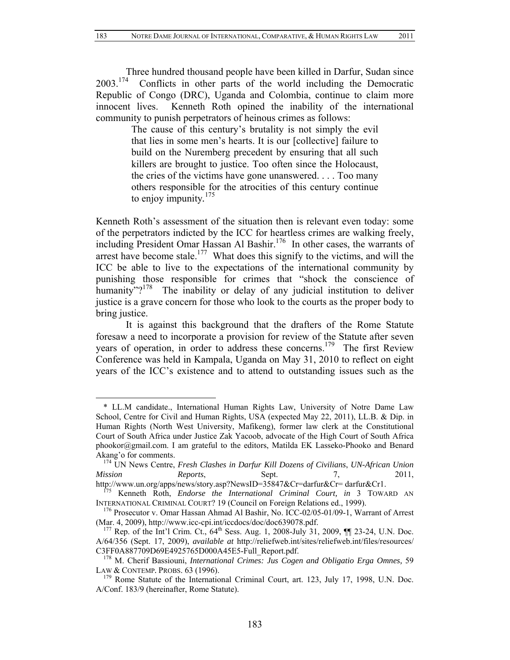Three hundred thousand people have been killed in Darfur, Sudan since 2003.<sup>174</sup> Conflicts in other parts of the world including the Democratic Conflicts in other parts of the world including the Democratic Republic of Congo (DRC), Uganda and Colombia, continue to claim more innocent lives. Kenneth Roth opined the inability of the international community to punish perpetrators of heinous crimes as follows:

The cause of this century's brutality is not simply the evil that lies in some men's hearts. It is our [collective] failure to build on the Nuremberg precedent by ensuring that all such killers are brought to justice. Too often since the Holocaust, the cries of the victims have gone unanswered. . . . Too many others responsible for the atrocities of this century continue to enjoy impunity*.* 175

Kenneth Roth's assessment of the situation then is relevant even today: some of the perpetrators indicted by the ICC for heartless crimes are walking freely, including President Omar Hassan Al Bashir.<sup>176</sup> In other cases, the warrants of arrest have become stale.<sup>177</sup> What does this signify to the victims, and will the ICC be able to live to the expectations of the international community by punishing those responsible for crimes that "shock the conscience of humanity"?<sup>178</sup> The inability or delay of any judicial institution to deliver justice is a grave concern for those who look to the courts as the proper body to bring justice.

It is against this background that the drafters of the Rome Statute foresaw a need to incorporate a provision for review of the Statute after seven years of operation, in order to address these concerns.<sup>179</sup> The first Review Conference was held in Kampala, Uganda on May 31, 2010 to reflect on eight years of the ICC's existence and to attend to outstanding issues such as the

 

<sup>\*</sup> LL.M candidate., International Human Rights Law, University of Notre Dame Law School, Centre for Civil and Human Rights, USA (expected May 22, 2011), LL.B. & Dip. in Human Rights (North West University, Mafikeng), former law clerk at the Constitutional Court of South Africa under Justice Zak Yacoob, advocate of the High Court of South Africa phookor@gmail.com. I am grateful to the editors, Matilda EK Lasseko-Phooko and Benard Akang'o for comments. 174 UN News Centre, *Fresh Clashes in Darfur Kill Dozens of Civilians*, *UN-African Union* 

*Mission* Reports, Sept. 7, 2011,

http://www.un.org/apps/news/story.asp?NewsID=35847&Cr=darfur&Cr= darfur&Cr1. 175 Kenneth Roth, *Endorse the International Criminal Court, in*<sup>3</sup> TOWARD AN

INTERNATIONAL CRIMINAL COURT? 19 (Council on Foreign Relations ed., 1999).<br><sup>176</sup> Prosecutor v. Omar Hassan Ahmad Al Bashir, No. ICC-02/05-01/09-1, Warrant of Arrest<br>(Mar. 4, 2009), http://www.icc-cpi.int/iccdocs/doc/doc639

<sup>&</sup>lt;sup>177</sup> Rep. of the Int'l Crim. Ct.,  $64^{th}$  Sess. Aug. 1, 2008-July 31, 2009,  $\P\P$  23-24, U.N. Doc. A/64/356 (Sept. 17, 2009), *available at* http://reliefweb.int/sites/reliefweb.int/files/resources/ C3FF0A887709D69E4925765D000A45E5-Full\_Report.pdf. 178 M. Cherif Bassiouni, *International Crimes: Jus Cogen and Obligatio Erga Omnes,*<sup>59</sup>

LAW & CONTEMP. PROBS. 63 (1996).<br><sup>179</sup> Rome Statute of the International Criminal Court, art. 123, July 17, 1998, U.N. Doc.

A/Conf. 183/9 (hereinafter, Rome Statute).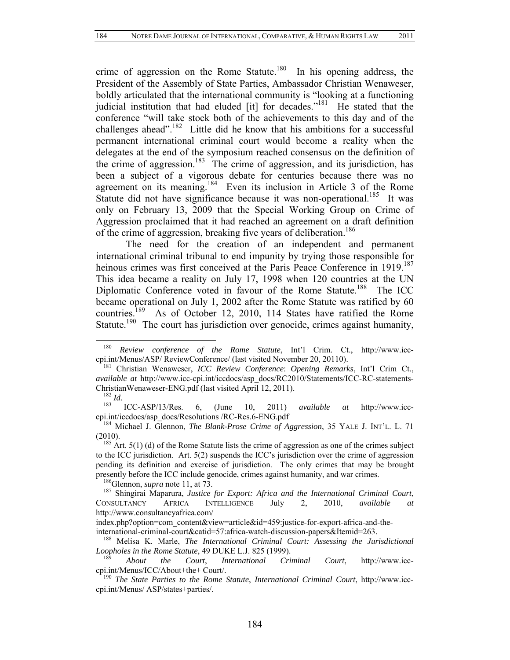crime of aggression on the Rome Statute.<sup>180</sup> In his opening address, the President of the Assembly of State Parties, Ambassador Christian Wenaweser, boldly articulated that the international community is "looking at a functioning judicial institution that had eluded [it] for decades."<sup>181</sup> He stated that the conference "will take stock both of the achievements to this day and of the challenges ahead".<sup>182</sup> Little did he know that his ambitions for a successful permanent international criminal court would become a reality when the delegates at the end of the symposium reached consensus on the definition of the crime of aggression.<sup>183</sup> The crime of aggression, and its jurisdiction, has been a subject of a vigorous debate for centuries because there was no agreement on its meaning.184 Even its inclusion in Article 3 of the Rome Statute did not have significance because it was non-operational.<sup>185</sup> It was only on February 13, 2009 that the Special Working Group on Crime of Aggression proclaimed that it had reached an agreement on a draft definition of the crime of aggression, breaking five years of deliberation.<sup>186</sup>

 The need for the creation of an independent and permanent international criminal tribunal to end impunity by trying those responsible for heinous crimes was first conceived at the Paris Peace Conference in 1919.<sup>187</sup> This idea became a reality on July 17, 1998 when 120 countries at the UN Diplomatic Conference voted in favour of the Rome Statute.<sup>188</sup> The ICC became operational on July 1, 2002 after the Rome Statute was ratified by 60 countries.<sup>189</sup> As of October 12, 2010, 114 States have ratified the Rome Statute.<sup>190</sup> The court has jurisdiction over genocide, crimes against humanity,

 <sup>180</sup> *Review conference of the Rome Statute*, Int'l Crim. Ct., http://www.icccpi.int/Menus/ASP/ ReviewConference/ (last visited November 20, 20110). 181 Christian Wenaweser, *ICC Review Conference*: *Opening Remarks*, Int'l Crim Ct.,

*available at* http://www.icc-cpi.int/iccdocs/asp\_docs/RC2010/Statements/ICC-RC-statements-ChristianWenaweser-ENG.pdf (last visited April 12, 2011). 182 *Id.* 183 ICC-ASP/13/Res. 6, (June 10, 2011) *available at* http://www.icc-

cpi.int/iccdocs/asp\_docs/Resolutions /RC-Res.6-ENG.pdf 184 Michael J. Glennon, *The Blank-Prose Crime of Aggression*, 35 YALE J. INT'L. L. 71

<sup>(2010).&</sup>lt;br><sup>185</sup> Art. 5(1) (d) of the Rome Statute lists the crime of aggression as one of the crimes subject

to the ICC jurisdiction. Art. 5(2) suspends the ICC's jurisdiction over the crime of aggression pending its definition and exercise of jurisdiction. The only crimes that may be brought presently before the ICC include genocide, crimes against humanity, and war crimes.<br><sup>186</sup>Glennon, *supra* note 11, at 73.<br><sup>187</sup> Shingirai Maparura, *Justice for Export: Africa and the International Criminal Court*,

CONSULTANCY AFRICA INTELLIGENCE July 2, 2010, *available at* http://www.consultancyafrica.com/

index.php?option=com\_content&view=article&id=459:justice-for-export-africa-and-theinternational-criminal-court&catid=57:africa-watch-discussion-papers&Itemid=263. 188 Melisa K. Marle, *The International Criminal Court: Assessing the Jurisdictional* 

*Loopholes in the Rome Statute*, 49 DUKE L.J. 825 (1999). 189 *About the Court*, *International Criminal Court*, http://www.icc-

cpi.int/Menus/ICC/About+the+ Court/. 190 *The State Parties to the Rome Statute*, *International Criminal Court*, http://www.icc-

cpi.int/Menus/ ASP/states+parties/.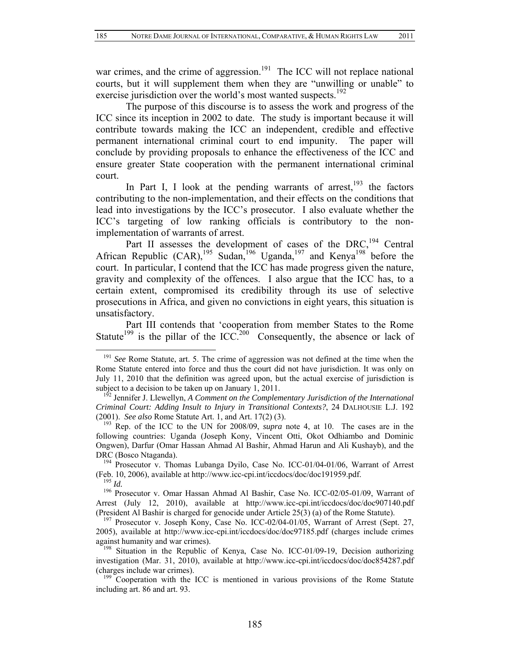war crimes, and the crime of aggression.<sup>191</sup> The ICC will not replace national courts, but it will supplement them when they are "unwilling or unable" to exercise jurisdiction over the world's most wanted suspects.<sup>192</sup>

The purpose of this discourse is to assess the work and progress of the ICC since its inception in 2002 to date. The study is important because it will contribute towards making the ICC an independent, credible and effective permanent international criminal court to end impunity. The paper will conclude by providing proposals to enhance the effectiveness of the ICC and ensure greater State cooperation with the permanent international criminal court.

In Part I, I look at the pending warrants of arrest, $193$  the factors contributing to the non-implementation, and their effects on the conditions that lead into investigations by the ICC's prosecutor. I also evaluate whether the ICC's targeting of low ranking officials is contributory to the nonimplementation of warrants of arrest.

Part II assesses the development of cases of the DRC,<sup>194</sup> Central African Republic  $(CAR)$ ,<sup>195</sup> Sudan,<sup>196</sup> Uganda,<sup>197</sup> and Kenya<sup>198</sup> before the court. In particular, I contend that the ICC has made progress given the nature, gravity and complexity of the offences. I also argue that the ICC has, to a certain extent, compromised its credibility through its use of selective prosecutions in Africa, and given no convictions in eight years, this situation is unsatisfactory.

Part III contends that 'cooperation from member States to the Rome Statute<sup>199</sup> is the pillar of the ICC.<sup>200</sup> Consequently, the absence or lack of

 <sup>191</sup> *See* Rome Statute, art. 5. The crime of aggression was not defined at the time when the Rome Statute entered into force and thus the court did not have jurisdiction. It was only on July 11, 2010 that the definition was agreed upon, but the actual exercise of jurisdiction is subject to a decision to be taken up on January 1, 2011.<br><sup>192</sup> Jennifer J. Llewellyn, *A Comment on the Complementary Jurisdiction of the International* 

*Criminal Court: Adding Insult to Injury in Transitional Contexts?*, 24 DALHOUSIE L.J. 192 (2001). *See also* Rome Statute Art. 1, and Art. 17(2) (3).  $\frac{193}{193}$  Rep. of the ICC to the UN for 2008/09, *supra* note 4, at 10. The cases are in the

following countries: Uganda (Joseph Kony, Vincent Otti, Okot Odhiambo and Dominic Ongwen), Darfur (Omar Hassan Ahmad Al Bashir, Ahmad Harun and Ali Kushayb), and the

DRC (Bosco Ntaganda).<br><sup>194</sup> Prosecutor v. Thomas Lubanga Dyilo, Case No. ICC-01/04-01/06, Warrant of Arrest<br>(Feb. 10, 2006), available at http://www.icc-cpi.int/iccdocs/doc/doc191959.pdf.

<sup>(</sup>Feb. 195 *Id.* 2006)<br><sup>196</sup> Prosecutor v. Omar Hassan Ahmad Al Bashir, Case No. ICC-02/05-01/09, Warrant of Arrest (July 12, 2010), available at http://www.icc-cpi.int/iccdocs/doc/doc907140.pdf (President Al Bashir is charged for genocide under Article 25(3) (a) of the Rome Statute). 197 Prosecutor v. Joseph Kony, Case No. ICC-02/04-01/05, Warrant of Arrest (Sept. 27,

<sup>2005),</sup> available at http://www.icc-cpi.int/iccdocs/doc/doc97185.pdf (charges include crimes

<sup>&</sup>lt;sup>198</sup> Situation in the Republic of Kenya, Case No. ICC-01/09-19, Decision authorizing investigation (Mar. 31, 2010), available at http://www.icc-cpi.int/iccdocs/doc/doc854287.pdf (charges include war crimes). 199 Cooperation with the ICC is mentioned in various provisions of the Rome Statute

including art. 86 and art. 93.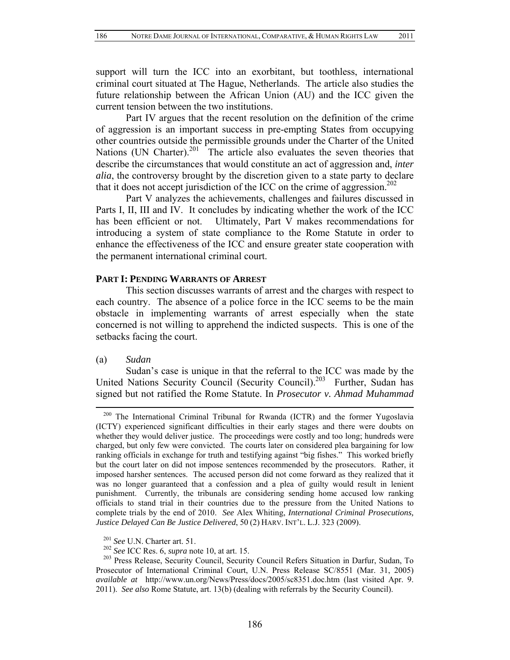support will turn the ICC into an exorbitant, but toothless, international criminal court situated at The Hague, Netherlands. The article also studies the future relationship between the African Union (AU) and the ICC given the current tension between the two institutions.

Part IV argues that the recent resolution on the definition of the crime of aggression is an important success in pre-empting States from occupying other countries outside the permissible grounds under the Charter of the United Nations (UN Charter).<sup>201</sup> The article also evaluates the seven theories that describe the circumstances that would constitute an act of aggression and, *inter alia*, the controversy brought by the discretion given to a state party to declare that it does not accept jurisdiction of the ICC on the crime of aggression.<sup>202</sup>

Part V analyzes the achievements, challenges and failures discussed in Parts I, II, III and IV. It concludes by indicating whether the work of the ICC has been efficient or not. Ultimately, Part V makes recommendations for introducing a system of state compliance to the Rome Statute in order to enhance the effectiveness of the ICC and ensure greater state cooperation with the permanent international criminal court.

## **PART I: PENDING WARRANTS OF ARREST**

This section discusses warrants of arrest and the charges with respect to each country. The absence of a police force in the ICC seems to be the main obstacle in implementing warrants of arrest especially when the state concerned is not willing to apprehend the indicted suspects. This is one of the setbacks facing the court.

#### (a) *Sudan*

Sudan's case is unique in that the referral to the ICC was made by the United Nations Security Council (Security Council).<sup>203</sup> Further, Sudan has signed but not ratified the Rome Statute. In *Prosecutor v. Ahmad Muhammad* 

<sup>&</sup>lt;sup>200</sup> The International Criminal Tribunal for Rwanda (ICTR) and the former Yugoslavia (ICTY) experienced significant difficulties in their early stages and there were doubts on whether they would deliver justice. The proceedings were costly and too long; hundreds were charged, but only few were convicted. The courts later on considered plea bargaining for low ranking officials in exchange for truth and testifying against "big fishes." This worked briefly but the court later on did not impose sentences recommended by the prosecutors. Rather, it imposed harsher sentences. The accused person did not come forward as they realized that it was no longer guaranteed that a confession and a plea of guilty would result in lenient punishment. Currently, the tribunals are considering sending home accused low ranking officials to stand trial in their countries due to the pressure from the United Nations to complete trials by the end of 2010. *See* Alex Whiting, *International Criminal Prosecutions, Justice Delayed Can Be Justice Delivered*, 50 (2) HARV. INT'L. L.J. 323 (2009).

<sup>201</sup> *See* U.N. Charter art. 51. 202 *See* ICC Res. 6, *supra* note 10, at art. 15. 203 Press Release, Security Council, Security Council Refers Situation in Darfur, Sudan, To Prosecutor of International Criminal Court, U.N. Press Release SC/8551 (Mar. 31, 2005) *available at* http://www.un.org/News/Press/docs/2005/sc8351.doc.htm (last visited Apr. 9. 2011). *See also* Rome Statute, art. 13(b) (dealing with referrals by the Security Council).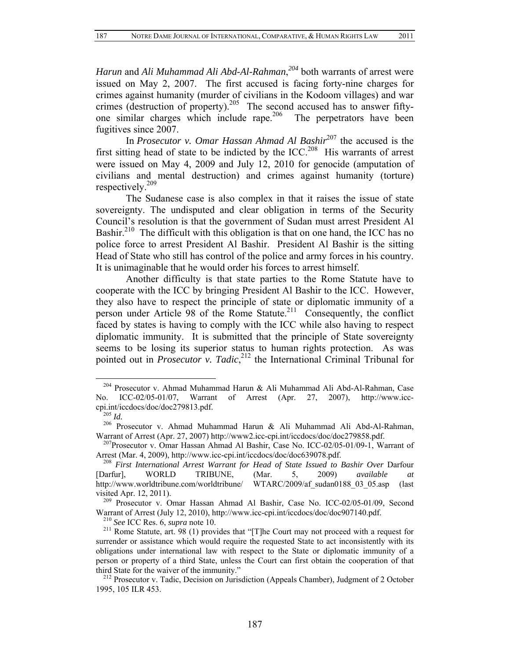*Harun* and *Ali Muhammad Ali Abd-Al-Rahman*, *<sup>204</sup>* both warrants of arrest were issued on May 2, 2007. The first accused is facing forty-nine charges for crimes against humanity (murder of civilians in the Kodoom villages) and war crimes (destruction of property).<sup>205</sup> The second accused has to answer fiftyone similar charges which include rape.<sup>206</sup> The perpetrators have been fugitives since 2007.

In *Prosecutor v. Omar Hassan Ahmad Al Bashir*<sup>207</sup> the accused is the first sitting head of state to be indicted by the ICC.<sup>208</sup> His warrants of arrest were issued on May 4, 2009 and July 12, 2010 for genocide (amputation of civilians and mental destruction) and crimes against humanity (torture) respectively.209

The Sudanese case is also complex in that it raises the issue of state sovereignty. The undisputed and clear obligation in terms of the Security Council's resolution is that the government of Sudan must arrest President Al Bashir.<sup>210</sup> The difficult with this obligation is that on one hand, the ICC has no police force to arrest President Al Bashir. President Al Bashir is the sitting Head of State who still has control of the police and army forces in his country. It is unimaginable that he would order his forces to arrest himself.

Another difficulty is that state parties to the Rome Statute have to cooperate with the ICC by bringing President Al Bashir to the ICC. However, they also have to respect the principle of state or diplomatic immunity of a person under Article 98 of the Rome Statute.<sup>211</sup> Consequently, the conflict faced by states is having to comply with the ICC while also having to respect diplomatic immunity. It is submitted that the principle of State sovereignty seems to be losing its superior status to human rights protection. As was pointed out in *Prosecutor v. Tadic*, 212 the International Criminal Tribunal for

<sup>&</sup>lt;sup>204</sup> Prosecutor v. Ahmad Muhammad Harun & Ali Muhammad Ali Abd-Al-Rahman, Case No. ICC-02/05-01/07, Warrant of Arrest (Apr. 27, 2007), http://www.icccpi.int/iccdocs/doc/doc279813.pdf. 205 *Id.* 206 Prosecutor v. Ahmad Muhammad Harun & Ali Muhammad Ali Abd-Al-Rahman,

Warrant of Arrest (Apr. 27, 2007) http://www2.icc-cpi.int/iccdocs/doc/doc279858.pdf.<br><sup>207</sup>Prosecutor v. Omar Hassan Ahmad Al Bashir, Case No. ICC-02/05-01/09-1, Warrant of

Arrest (Mar. 4, 2009), http://www.icc-cpi.int/iccdocs/doc/doc639078.pdf. 208 *First International Arrest Warrant for Head of State Issued to Bashir Over* Darfour

<sup>[</sup>Darfur], WORLD TRIBUNE, (Mar. 5, 2009) *available at* http://www.worldtribune.com/worldtribune/ WTARC/2009/af sudan0188 03 05.asp (last visited Apr. 12, 2011). 209 Prosecutor v. Omar Hassan Ahmad Al Bashir, Case No. ICC-02/05-01/09, Second

Warrant of Arrest (July 12, 2010), http://www.icc-cpi.int/iccdocs/doc/doc907140.pdf.<br><sup>210</sup> See ICC Res. 6, *supra* note 10.<br><sup>211</sup> Rome Statute, art. 98 (1) provides that "[T]he Court may not proceed with a request for

surrender or assistance which would require the requested State to act inconsistently with its obligations under international law with respect to the State or diplomatic immunity of a person or property of a third State, unless the Court can first obtain the cooperation of that third State for the waiver of the immunity."<br><sup>212</sup> Prosecutor v. Tadic, Decision on Jurisdiction (Appeals Chamber), Judgment of 2 October

<sup>1995, 105</sup> ILR 453.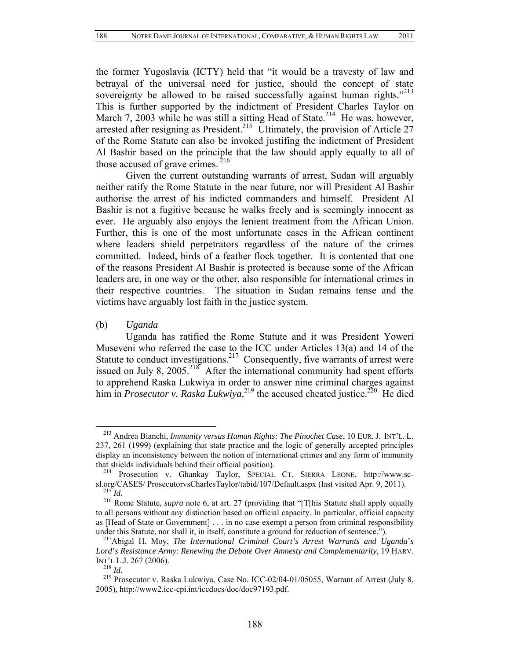the former Yugoslavia (ICTY) held that "it would be a travesty of law and betrayal of the universal need for justice, should the concept of state sovereignty be allowed to be raised successfully against human rights."<sup>213</sup> This is further supported by the indictment of President Charles Taylor on March 7, 2003 while he was still a sitting Head of State.<sup>214</sup> He was, however, arrested after resigning as President.<sup>215</sup> Ultimately, the provision of Article 27 of the Rome Statute can also be invoked justifing the indictment of President Al Bashir based on the principle that the law should apply equally to all of those accused of grave crimes.<sup>216</sup>

Given the current outstanding warrants of arrest, Sudan will arguably neither ratify the Rome Statute in the near future, nor will President Al Bashir authorise the arrest of his indicted commanders and himself. President Al Bashir is not a fugitive because he walks freely and is seemingly innocent as ever. He arguably also enjoys the lenient treatment from the African Union. Further, this is one of the most unfortunate cases in the African continent where leaders shield perpetrators regardless of the nature of the crimes committed. Indeed, birds of a feather flock together. It is contented that one of the reasons President Al Bashir is protected is because some of the African leaders are, in one way or the other, also responsible for international crimes in their respective countries. The situation in Sudan remains tense and the victims have arguably lost faith in the justice system.

(b) *Uganda*

Uganda has ratified the Rome Statute and it was President Yoweri Museveni who referred the case to the ICC under Articles 13(a) and 14 of the Statute to conduct investigations.<sup>217</sup> Consequently, five warrants of arrest were issued on July 8, 2005.<sup>218</sup> After the international community had spent efforts to apprehend Raska Lukwiya in order to answer nine criminal charges against him in *Prosecutor v. Raska Lukwiya*,<sup>219</sup> the accused cheated justice.<sup>220</sup> He died

 213 Andrea Bianchi, *Immunity versus Human Rights: The Pinochet Case*, 10 EUR. J. INT'L. L. 237, 261 (1999) (explaining that state practice and the logic of generally accepted principles display an inconsistency between the notion of international crimes and any form of immunity

that shields individuals behind their official position).<br><sup>214</sup> Prosecution v. Ghankay Taylor, SPECIAL CT. SIERRA LEONE, http://www.sc-<br>sl.org/CASES/ ProsecutorysCharlesTaylor/tabid/107/Default.aspx (last visited Apr. 9, 2

<sup>&</sup>lt;sup>215</sup> *Id.*<br><sup>216</sup> Rome Statute, *supra* note 6, at art. 27 (providing that "[T[his Statute shall apply equally to all persons without any distinction based on official capacity. In particular, official capacity as [Head of State or Government] . . . in no case exempt a person from criminal responsibility under this Statute, nor shall it, in itself, constitute a ground for reduction of sentence."). 217Abigal H. Moy, *The International Criminal Court's Arrest Warrants and Uganda*'*<sup>s</sup>*

*Lord*'*s Resistance Army*: *Renewing the Debate Over Amnesty and Complementarity*, 19 HARV. INT'L L.J. 267 (2006). 218 *Id.* 219 Prosecutor v. Raska Lukwiya, Case No. ICC-02/04-01/05055, Warrant of Arrest (July 8,

<sup>2005),</sup> http://www2.icc-cpi.int/iccdocs/doc/doc97193.pdf.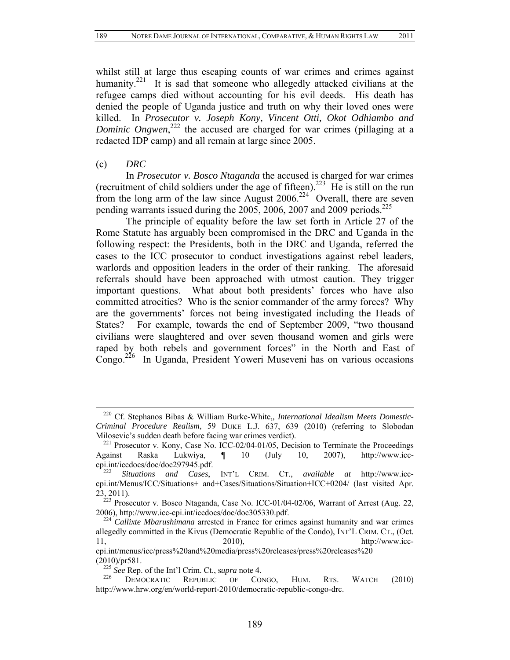whilst still at large thus escaping counts of war crimes and crimes against humanity.<sup>221</sup> It is sad that someone who allegedly attacked civilians at the refugee camps died without accounting for his evil deeds. His death has denied the people of Uganda justice and truth on why their loved ones wer*e*  killed. In *Prosecutor v. Joseph Kony, Vincent Otti, Okot Odhiambo and Dominic Ongwen*, 222 the accused are charged for war crimes (pillaging at a redacted IDP camp) and all remain at large since 2005.

(c) *DRC* 

In *Prosecutor v. Bosco Ntaganda* the accused is charged for war crimes (recruitment of child soldiers under the age of fifteen).<sup>223</sup> He is still on the run from the long arm of the law since August  $2006.<sup>224</sup>$  Overall, there are seven pending warrants issued during the 2005, 2006, 2007 and 2009 periods.<sup>225</sup>

The principle of equality before the law set forth in Article 27 of the Rome Statute has arguably been compromised in the DRC and Uganda in the following respect: the Presidents, both in the DRC and Uganda, referred the cases to the ICC prosecutor to conduct investigations against rebel leaders, warlords and opposition leaders in the order of their ranking. The aforesaid referrals should have been approached with utmost caution. They trigger important questions. What about both presidents' forces who have also committed atrocities? Who is the senior commander of the army forces? Why are the governments' forces not being investigated including the Heads of States? For example, towards the end of September 2009, "two thousand civilians were slaughtered and over seven thousand women and girls were raped by both rebels and government forces" in the North and East of Congo.226 In Uganda, President Yoweri Museveni has on various occasions

 220 Cf. Stephanos Bibas & William Burke-White,*, International Idealism Meets Domestic-Criminal Procedure Realism*, 59 DUKE L.J. 637, 639 (2010) (referring to Slobodan Milosevic's sudden death before facing war crimes verdict).<br><sup>221</sup> Prosecutor v. Kony, Case No. ICC-02/04-01/05, Decision to Terminate the Proceedings

Against Raska Lukwiya, ¶ 10 (July 10, 2007), http://www.icccpi.int/iccdocs/doc/doc297945.pdf. 222 *Situations and Cases*, INT'L CRIM. CT., *available at* http://www.icc-

cpi.int/Menus/ICC/Situations+ and+Cases/Situations/Situation+ICC+0204/ (last visited Apr. 23, 2011).<br><sup>223</sup> Prosecutor v. Bosco Ntaganda, Case No. ICC-01/04-02/06, Warrant of Arrest (Aug. 22,

<sup>2006),</sup> http://www.icc-cpi.int/iccdocs/doc/doc305330.pdf. 224 *Callixte Mbarushimana* arrested in France for crimes against humanity and war crimes

allegedly committed in the Kivus (Democratic Republic of the Condo), INT'L CRIM. CT., (Oct. 11, 2010), http://www.icc-

cpi.int/menus/icc/press%20and%20media/press%20releases/press%20releases%20 (2010)/pr581.<br><sup>225</sup> *See* Rep. of the Int'l Crim. Ct., supra note 4.<br><sup>226</sup> DEMOCRATIC REPUBLIC OF CONGO, HUM. RTS. WATCH (2010)

http://www.hrw.org/en/world-report-2010/democratic-republic-congo-drc.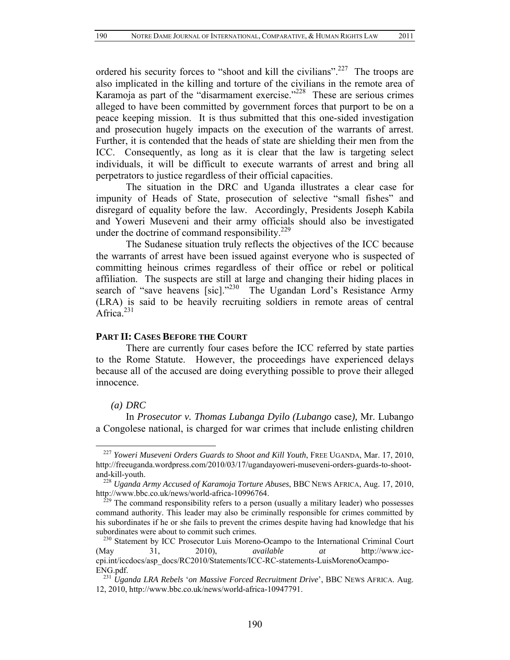ordered his security forces to "shoot and kill the civilians".<sup>227</sup> The troops are also implicated in the killing and torture of the civilians in the remote area of Karamoja as part of the "disarmament exercise."<sup>228</sup> These are serious crimes alleged to have been committed by government forces that purport to be on a peace keeping mission. It is thus submitted that this one-sided investigation and prosecution hugely impacts on the execution of the warrants of arrest. Further, it is contended that the heads of state are shielding their men from the ICC. Consequently, as long as it is clear that the law is targeting select individuals, it will be difficult to execute warrants of arrest and bring all perpetrators to justice regardless of their official capacities.

The situation in the DRC and Uganda illustrates a clear case for impunity of Heads of State, prosecution of selective "small fishes" and disregard of equality before the law. Accordingly, Presidents Joseph Kabila and Yoweri Museveni and their army officials should also be investigated under the doctrine of command responsibility.<sup>229</sup>

The Sudanese situation truly reflects the objectives of the ICC because the warrants of arrest have been issued against everyone who is suspected of committing heinous crimes regardless of their office or rebel or political affiliation. The suspects are still at large and changing their hiding places in search of "save heavens [sic]."<sup>230</sup> The Ugandan Lord's Resistance Army (LRA) is said to be heavily recruiting soldiers in remote areas of central Africa.<sup>231</sup>

## **PART II: CASES BEFORE THE COURT**

There are currently four cases before the ICC referred by state parties to the Rome Statute. However, the proceedings have experienced delays because all of the accused are doing everything possible to prove their alleged innocence.

## *(a) DRC*

In *Prosecutor v. Thomas Lubanga Dyilo (Lubango* case*),* Mr. Lubango a Congolese national, is charged for war crimes that include enlisting children

 <sup>227</sup> *Yoweri Museveni Orders Guards to Shoot and Kill Youth*, FREE UGANDA, Mar. 17, 2010, http://freeuganda.wordpress.com/2010/03/17/ugandayoweri-museveni-orders-guards-to-shoot-

<sup>&</sup>lt;sup>228</sup> *Uganda Army Accused of Karamoja Torture Abuses*, BBC NEWS AFRICA, Aug. 17, 2010, http://www.bbc.co.uk/news/world-africa-10996764.<br><sup>229</sup> The command responsibility refers to a person (usually a military leader) who possesses

command authority. This leader may also be criminally responsible for crimes committed by his subordinates if he or she fails to prevent the crimes despite having had knowledge that his subordinates were about to commit such crimes.<br><sup>230</sup> Statement by ICC Prosecutor Luis Moreno-Ocampo to the International Criminal Court

<sup>(</sup>May 31, 2010), *available at* http://www.icccpi.int/iccdocs/asp\_docs/RC2010/Statements/ICC-RC-statements-LuisMorenoOcampo-

ENG.pdf. 231 *Uganda LRA Rebels* '*on Massive Forced Recruitment Drive*', BBC NEWS AFRICA. Aug. 12, 2010, http://www.bbc.co.uk/news/world-africa-10947791.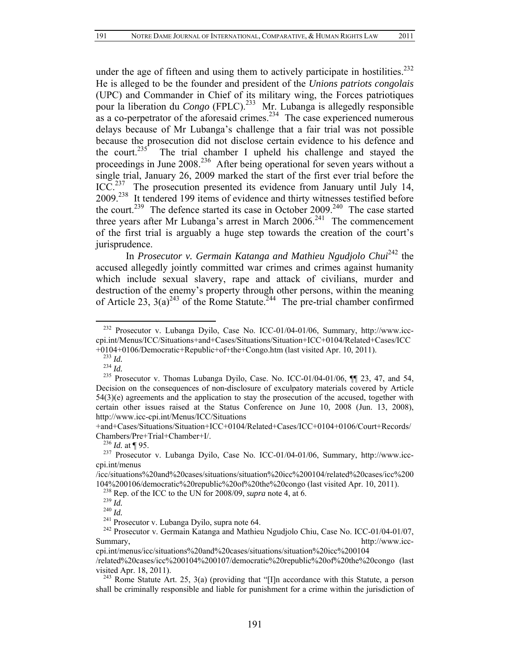under the age of fifteen and using them to actively participate in hostilities.<sup>232</sup> He is alleged to be the founder and president of the *Unions patriots congolais* (UPC) and Commander in Chief of its military wing, the Forces patriotiques pour la liberation du *Congo* (FPLC).233 Mr. Lubanga is allegedly responsible as a co-perpetrator of the aforesaid crimes.<sup>234</sup> The case experienced numerous delays because of Mr Lubanga's challenge that a fair trial was not possible because the prosecution did not disclose certain evidence to his defence and the court.<sup>235</sup> The trial chamber I upheld his challenge and stayed the proceedings in June 2008.<sup>236</sup> After being operational for seven years without a single trial, January 26, 2009 marked the start of the first ever trial before the  $\text{ICC.}^{237}$  The prosecution presented its evidence from January until July 14, 2009.238 It tendered 199 items of evidence and thirty witnesses testified before the court.<sup>239</sup> The defence started its case in October 2009.<sup>240</sup> The case started three years after Mr Lubanga's arrest in March  $2006$ <sup>241</sup> The commencement of the first trial is arguably a huge step towards the creation of the court's jurisprudence.

In *Prosecutor v. Germain Katanga and Mathieu Ngudjolo Chui*<sup>242</sup> the accused allegedly jointly committed war crimes and crimes against humanity which include sexual slavery, rape and attack of civilians, murder and destruction of the enemy's property through other persons, within the meaning of Article 23,  $3(a)^{243}$  of the Rome Statute.<sup>244</sup> The pre-trial chamber confirmed

 232 Prosecutor v. Lubanga Dyilo, Case No. ICC-01/04-01/06, Summary, http://www.icccpi.int/Menus/ICC/Situations+and+Cases/Situations/Situation+ICC+0104/Related+Cases/ICC

<sup>+0104+0106/</sup>Democratic+Republic+of+the+Congo.htm (last visited Apr. 10, 2011).<br><sup>233</sup> *Id.*<br><sup>234</sup> *Id.* <sup>235</sup> Prosecutor v. Thomas Lubanga Dyilo, Case. No. ICC-01/04-01/06, ¶¶ 23, 47, and 54, Decision on the consequences of non-disclosure of exculpatory materials covered by Article  $54(3)(e)$  agreements and the application to stay the prosecution of the accused, together with certain other issues raised at the Status Conference on June 10, 2008 (Jun. 13, 2008), http://www.icc-cpi.int/Menus/ICC/Situations

<sup>+</sup>and+Cases/Situations/Situation+ICC+0104/Related+Cases/ICC+0104+0106/Court+Records/ Chambers/Pre+Trial+Chamber+I/.<br><sup>236</sup> *Id.* at ¶ 95.<br><sup>237</sup> Prosecutor v. Lubanga Dyilo, Case No. ICC-01/04-01/06, Summary, http://www.icc-

cpi.int/menus

<sup>/</sup>icc/situations%20and%20cases/situations/situation%20icc%200104/related%20cases/icc%200 104%200106/democratic%20republic%20of%20the%20congo (last visited Apr. 10, 2011).<br><sup>238</sup> Rep. of the ICC to the UN for 2008/09, *supra* note 4, at 6.<br><sup>239</sup> Id.<br><sup>241</sup> Prosecutor v. Lubanga Dyilo, supra note 64.<br><sup>242</sup> Prosec

Summary, http://www.icc-

cpi.int/menus/icc/situations%20and%20cases/situations/situation%20icc%200104 /related%20cases/icc%200104%200107/democratic%20republic%20of%20the%20congo (last visited Apr. 18, 2011).<br><sup>243</sup> Rome Statute Art. 25, 3(a) (providing that "[I]n accordance with this Statute, a person

shall be criminally responsible and liable for punishment for a crime within the jurisdiction of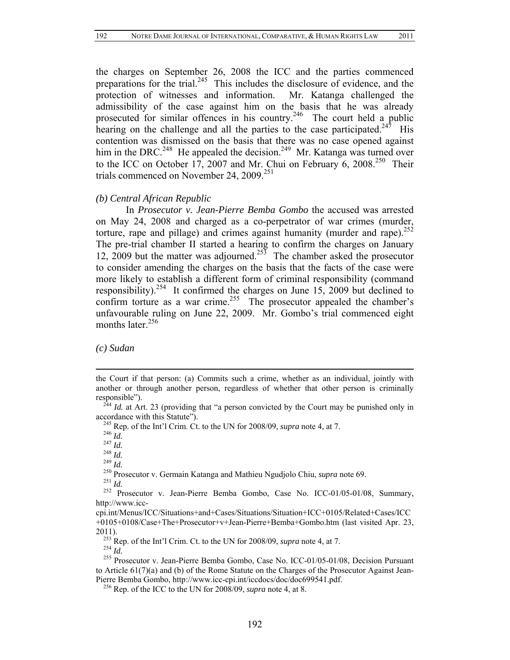the charges on September 26, 2008 the ICC and the parties commenced preparations for the trial.<sup>245</sup> This includes the disclosure of evidence, and the protection of witnesses and information. Mr. Katanga challenged the admissibility of the case against him on the basis that he was already prosecuted for similar offences in his country.246 The court held a public hearing on the challenge and all the parties to the case participated.<sup>247</sup> His contention was dismissed on the basis that there was no case opened against him in the DRC.<sup>248</sup> He appealed the decision.<sup>249</sup> Mr. Katanga was turned over to the ICC on October 17, 2007 and Mr. Chui on February 6, 2008.<sup>250</sup> Their trials commenced on November 24, 2009.<sup>251</sup>

#### *(b) Central African Republic*

In *Prosecutor v. Jean-Pierre Bemba Gombo* the accused was arrested on May 24, 2008 and charged as a co-perpetrator of war crimes (murder, torture, rape and pillage) and crimes against humanity (murder and rape).<sup>252</sup> The pre-trial chamber II started a hearing to confirm the charges on January 12, 2009 but the matter was adjourned.<sup>253</sup> The chamber asked the prosecutor to consider amending the charges on the basis that the facts of the case were more likely to establish a different form of criminal responsibility (command responsibility).<sup>254</sup> It confirmed the charges on June 15, 2009 but declined to confirm torture as a war crime.<sup>255</sup> The prosecutor appealed the chamber's unfavourable ruling on June 22, 2009. Mr. Gombo's trial commenced eight months later. $256$ 

*(c) Sudan* 

<u> 1989 - Andrea San Andrew Maria (h. 1989).</u><br>1900 - Johann British, fransk politik (h. 1980).

the Court if that person: (a) Commits such a crime, whether as an individual, jointly with another or through another person, regardless of whether that other person is criminally responsible"). 244 *Id.* at Art. 23 (providing that "a person convicted by the Court may be punished only in

accordance with this Statute").<br>
<sup>245</sup> Rep. of the Int'l Crim. Ct. to the UN for 2008/09, *supra* note 4, at 7.<br>
<sup>246</sup> *Id.*<br>
<sup>247</sup> *Id.*<br>
<sup>249</sup> *Id.*<br>
<sup>250</sup> Prosecutor v. Germain Katanga and Mathieu Ngudjolo Chiu, *supra* 

http://www.icc-

cpi.int/Menus/ICC/Situations+and+Cases/Situations/Situation+ICC+0105/Related+Cases/ICC +0105+0108/Case+The+Prosecutor+v+Jean-Pierre+Bemba+Gombo.htm (last visited Apr. 23, 2011).<br><sup>253</sup> Rep. of the Int'l Crim. Ct. to the UN for 2008/09, *supra* note 4, at 7.<br><sup>254</sup> *Id.*<br><sup>255</sup> Prosecutor v. Jean-Pierre Bemba Gombo, Case No. ICC-01/05-01/08, Decision Pursuant

to Article 61(7)(a) and (b) of the Rome Statute on the Charges of the Prosecutor Against Jean-Pierre Bemba Gombo, http://www.icc-cpi.int/iccdocs/doc/doc699541.pdf. 256 Rep. of the ICC to the UN for 2008/09, *supra* note 4, at 8.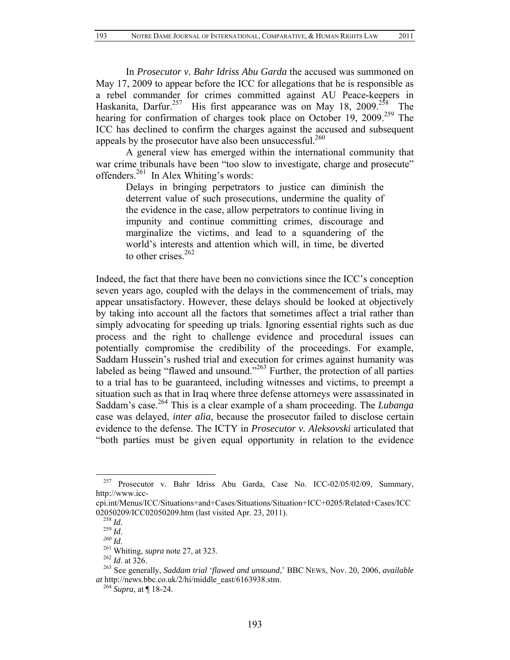In *Prosecutor v. Bahr Idriss Abu Garda* the accused was summoned on May 17, 2009 to appear before the ICC for allegations that he is responsible as a rebel commander for crimes committed against AU Peace-keepers in Haskanita, Darfur.<sup>257</sup> His first appearance was on May 18, 2009.<sup>258</sup> The hearing for confirmation of charges took place on October 19, 2009.<sup>259</sup> The ICC has declined to confirm the charges against the accused and subsequent appeals by the prosecutor have also been unsuccessful.<sup>260</sup>

A general view has emerged within the international community that war crime tribunals have been "too slow to investigate, charge and prosecute" offenders. $^{261}$  In Alex Whiting's words:

Delays in bringing perpetrators to justice can diminish the deterrent value of such prosecutions, undermine the quality of the evidence in the case, allow perpetrators to continue living in impunity and continue committing crimes, discourage and marginalize the victims, and lead to a squandering of the world's interests and attention which will, in time, be diverted to other crises. $262$ 

Indeed, the fact that there have been no convictions since the ICC's conception seven years ago, coupled with the delays in the commencement of trials, may appear unsatisfactory. However, these delays should be looked at objectively by taking into account all the factors that sometimes affect a trial rather than simply advocating for speeding up trials. Ignoring essential rights such as due process and the right to challenge evidence and procedural issues can potentially compromise the credibility of the proceedings. For example, Saddam Hussein's rushed trial and execution for crimes against humanity was labeled as being "flawed and unsound."<sup>263</sup> Further, the protection of all parties to a trial has to be guaranteed, including witnesses and victims, to preempt a situation such as that in Iraq where three defense attorneys were assassinated in Saddam's case.264 This is a clear example of a sham proceeding. The *Lubanga* case was delayed, *inter alia*, because the prosecutor failed to disclose certain evidence to the defense. The ICTY in *Prosecutor v. Aleksovski* articulated that "both parties must be given equal opportunity in relation to the evidence

 257 Prosecutor v. Bahr Idriss Abu Garda, Case No. ICC-02/05/02/09, Summary, http://www.icc-

cpi.int/Menus/ICC/Situations+and+Cases/Situations/Situation+ICC+0205/Related+Cases/ICC 02050209/ICC02050209.htm (last visited Apr. 23, 2011).<br>
<sup>258</sup> *Id.*<br>
<sup>259</sup> *Id.*<br>
<sup>260</sup> *Id.*<br>
<sup>261</sup> Whiting, *supra* note 27, at 323.<br>
<sup>262</sup> *Id.* at 326.<br>
<sup>262</sup> *Id.* at 326.<br>
<sup>262</sup> See generally, *Saddam trial 'flawed* 

*at* http://news.bbc.co.uk/2/hi/middle\_east/6163938.stm.

<sup>264</sup> *Supra*, at ¶ 18-24.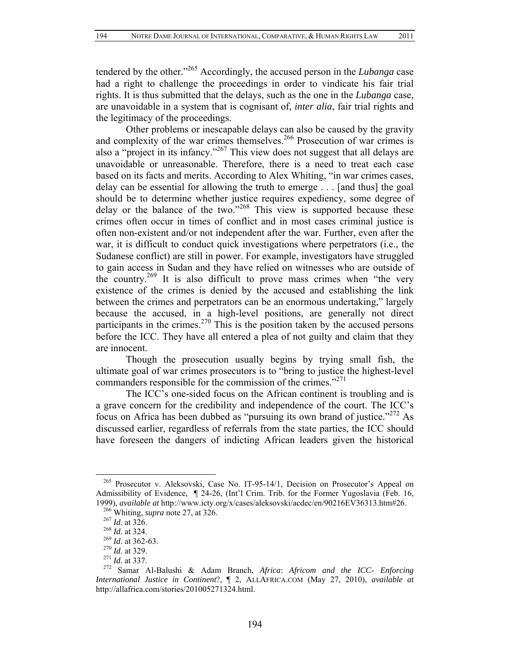tendered by the other."265 Accordingly, the accused person in the *Lubanga* case had a right to challenge the proceedings in order to vindicate his fair trial rights. It is thus submitted that the delays, such as the one in the *Lubanga* case, are unavoidable in a system that is cognisant of, *inter alia*, fair trial rights and the legitimacy of the proceedings.

Other problems or inescapable delays can also be caused by the gravity and complexity of the war crimes themselves.<sup>266</sup> Prosecution of war crimes is also a "project in its infancy."267 This view does not suggest that all delays are unavoidable or unreasonable. Therefore, there is a need to treat each case based on its facts and merits. According to Alex Whiting, "in war crimes cases, delay can be essential for allowing the truth to emerge . . . [and thus] the goal should be to determine whether justice requires expediency, some degree of delay or the balance of the two."<sup>268</sup> This view is supported because these crimes often occur in times of conflict and in most cases criminal justice is often non-existent and/or not independent after the war. Further, even after the war, it is difficult to conduct quick investigations where perpetrators (i.e., the Sudanese conflict) are still in power. For example, investigators have struggled to gain access in Sudan and they have relied on witnesses who are outside of the country.<sup>269</sup> It is also difficult to prove mass crimes when "the very existence of the crimes is denied by the accused and establishing the link between the crimes and perpetrators can be an enormous undertaking," largely because the accused, in a high-level positions, are generally not direct participants in the crimes.<sup>270</sup> This is the position taken by the accused persons before the ICC. They have all entered a plea of not guilty and claim that they are innocent.

Though the prosecution usually begins by trying small fish, the ultimate goal of war crimes prosecutors is to "bring to justice the highest-level commanders responsible for the commission of the crimes."<sup>271</sup>

The ICC's one-sided focus on the African continent is troubling and is a grave concern for the credibility and independence of the court. The ICC's focus on Africa has been dubbed as "pursuing its own brand of justice." $272$  As discussed earlier, regardless of referrals from the state parties, the ICC should have foreseen the dangers of indicting African leaders given the historical

<sup>&</sup>lt;sup>265</sup> Prosecutor v. Aleksovski, Case No. IT-95-14/1, Decision on Prosecutor's Appeal on Admissibility of Evidence, ¶ 24-26, (Int'l Crim. Trib. for the Former Yugoslavia (Feb. 16,

<sup>1999),</sup> available at http://www.icty.org/x/cases/aleksovski/acdec/en/90216EV36313.htm#26.<br><sup>266</sup> Whiting, *supra* note 27, at 326.<br><sup>267</sup> Id. at 326.<br><sup>267</sup> Id. at 324.<br><sup>269</sup> Id. at 324.<br><sup>270</sup> Id. at 329.<br><sup>271</sup> Id. at 337.<br><sup>2</sup> *International Justice in Continent*?, ¶ 2, ALLAFRICA.COM (May 27, 2010), *available at* http://allafrica.com/stories/201005271324.html.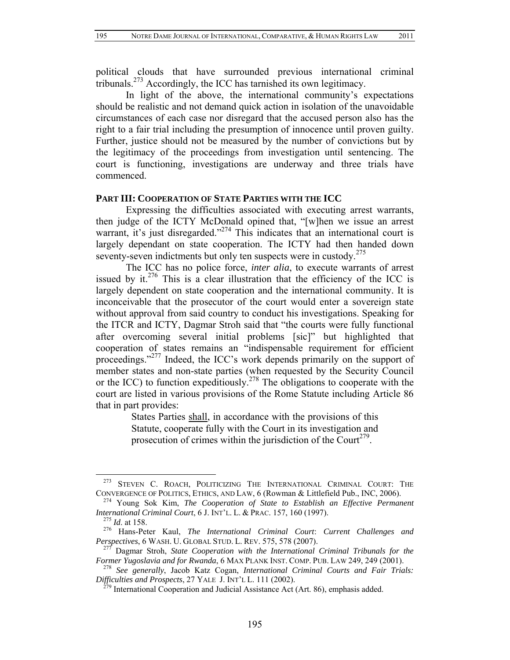political clouds that have surrounded previous international criminal tribunals.273 Accordingly, the ICC has tarnished its own legitimacy.

In light of the above, the international community's expectations should be realistic and not demand quick action in isolation of the unavoidable circumstances of each case nor disregard that the accused person also has the right to a fair trial including the presumption of innocence until proven guilty. Further, justice should not be measured by the number of convictions but by the legitimacy of the proceedings from investigation until sentencing. The court is functioning, investigations are underway and three trials have commenced.

#### **PART III: COOPERATION OF STATE PARTIES WITH THE ICC**

Expressing the difficulties associated with executing arrest warrants, then judge of the ICTY McDonald opined that, "[w]hen we issue an arrest warrant, it's just disregarded."<sup>274</sup> This indicates that an international court is largely dependant on state cooperation. The ICTY had then handed down seventy-seven indictments but only ten suspects were in custody.<sup>275</sup>

The ICC has no police force, *inter alia*, to execute warrants of arrest issued by it. $276$  This is a clear illustration that the efficiency of the ICC is largely dependent on state cooperation and the international community. It is inconceivable that the prosecutor of the court would enter a sovereign state without approval from said country to conduct his investigations. Speaking for the ITCR and ICTY, Dagmar Stroh said that "the courts were fully functional after overcoming several initial problems [sic]" but highlighted that cooperation of states remains an "indispensable requirement for efficient proceedings."277 Indeed, the ICC's work depends primarily on the support of member states and non-state parties (when requested by the Security Council or the ICC) to function expeditiously.<sup>278</sup> The obligations to cooperate with the court are listed in various provisions of the Rome Statute including Article 86 that in part provides:

> States Parties shall, in accordance with the provisions of this Statute, cooperate fully with the Court in its investigation and prosecution of crimes within the jurisdiction of the Court<sup> $279$ </sup>.

<sup>&</sup>lt;sup>273</sup> STEVEN C. ROACH, POLITICIZING THE INTERNATIONAL CRIMINAL COURT: THE CONVERGENCE OF POLITICS, ETHICS, AND LAW, 6 (Rowman & Littlefield Pub., INC, 2006). 274 Young Sok Kim, *The Cooperation of State to Establish an Effective Permanent* 

*International Criminal Court*, 6 J. INT'L. L. & PRAC. 157, 160 (1997). 275 *Id*. at 158. 276 Hans-Peter Kaul, *The International Criminal Court*: *Current Challenges and* 

*Perspectives*, 6 WASH. U. GLOBAL STUD. L. REV. 575, 578 (2007). 277 Dagmar Stroh, *State Cooperation with the International Criminal Tribunals for the* 

*Former Yugoslavia and for Rwanda*, 6 MAX PLANK INST. COMP. PUB. LAW 249, 249 (2001). 278 *See generally*, Jacob Katz Cogan, *International Criminal Courts and Fair Trials:* 

*Difficulties and Prospects*, 27 YALE J. INT'L L. 111 (2002).<br><sup>279</sup> International Cooperation and Judicial Assistance Act (Art. 86), emphasis added.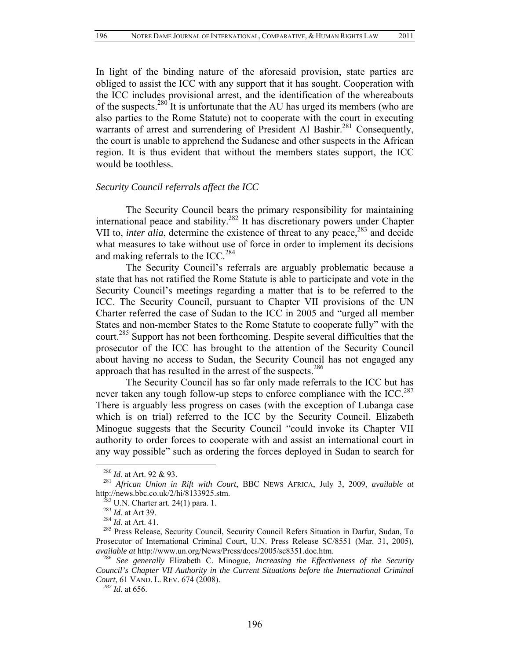In light of the binding nature of the aforesaid provision, state parties are obliged to assist the ICC with any support that it has sought. Cooperation with the ICC includes provisional arrest, and the identification of the whereabouts of the suspects.<sup>280</sup> It is unfortunate that the AU has urged its members (who are also parties to the Rome Statute) not to cooperate with the court in executing warrants of arrest and surrendering of President Al Bashir.<sup>281</sup> Consequently, the court is unable to apprehend the Sudanese and other suspects in the African region. It is thus evident that without the members states support, the ICC would be toothless.

## *Security Council referrals affect the ICC*

The Security Council bears the primary responsibility for maintaining international peace and stability.282 It has discretionary powers under Chapter VII to, *inter alia*, determine the existence of threat to any peace,<sup>283</sup> and decide what measures to take without use of force in order to implement its decisions and making referrals to the ICC.<sup>284</sup>

The Security Council's referrals are arguably problematic because a state that has not ratified the Rome Statute is able to participate and vote in the Security Council's meetings regarding a matter that is to be referred to the ICC. The Security Council, pursuant to Chapter VII provisions of the UN Charter referred the case of Sudan to the ICC in 2005 and "urged all member States and non-member States to the Rome Statute to cooperate fully" with the court.<sup>285</sup> Support has not been forthcoming. Despite several difficulties that the prosecutor of the ICC has brought to the attention of the Security Council about having no access to Sudan, the Security Council has not engaged any approach that has resulted in the arrest of the suspects.<sup>286</sup>

The Security Council has so far only made referrals to the ICC but has never taken any tough follow-up steps to enforce compliance with the ICC.<sup>287</sup> There is arguably less progress on cases (with the exception of Lubanga case which is on trial) referred to the ICC by the Security Council. Elizabeth Minogue suggests that the Security Council "could invoke its Chapter VII authority to order forces to cooperate with and assist an international court in any way possible" such as ordering the forces deployed in Sudan to search for

 <sup>280</sup> *Id*. at Art. 92 & 93. 281 *African Union in Rift with Court*, BBC NEWS AFRICA, July 3, 2009, *available at* http://news.bbc.co.uk/2/hi/8133925.stm.<br><sup>282</sup> U.N. Charter art. 24(1) para. 1.<br><sup>283</sup> *Id.* at Art. 41.<br><sup>284</sup> *Id.* at Art. 41.<br><sup>285</sup> Press Release, Security Council, Security Council Refers Situation in Darfur, Sudan, To

Prosecutor of International Criminal Court, U.N. Press Release SC/8551 (Mar. 31, 2005),

*available at* http://www.un.org/News/Press/docs/2005/sc8351.doc.htm. 286 *See generally* Elizabeth C. Minogue, *Increasing the Effectiveness of the Security Council's Chapter VII Authority in the Current Situations before the International Criminal Court*, 61 VAND. L. REV. 674 (2008). *287 Id*. at 656.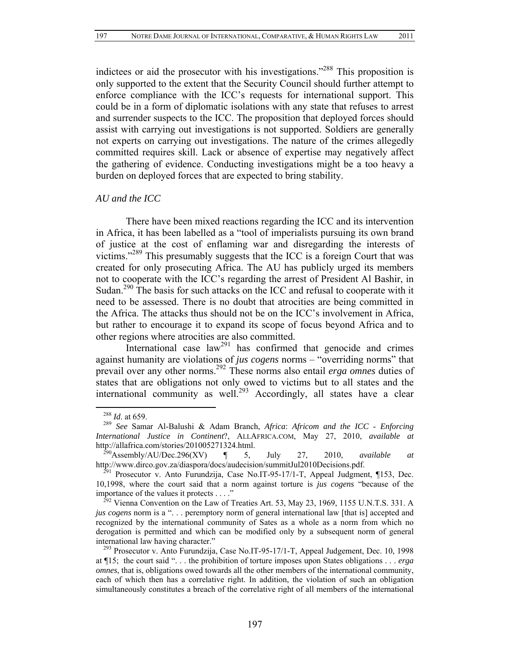indictees or aid the prosecutor with his investigations."288 This proposition is only supported to the extent that the Security Council should further attempt to enforce compliance with the ICC's requests for international support. This could be in a form of diplomatic isolations with any state that refuses to arrest and surrender suspects to the ICC. The proposition that deployed forces should assist with carrying out investigations is not supported. Soldiers are generally not experts on carrying out investigations. The nature of the crimes allegedly committed requires skill. Lack or absence of expertise may negatively affect the gathering of evidence. Conducting investigations might be a too heavy a burden on deployed forces that are expected to bring stability.

# *AU and the ICC*

There have been mixed reactions regarding the ICC and its intervention in Africa, it has been labelled as a "tool of imperialists pursuing its own brand of justice at the cost of enflaming war and disregarding the interests of victims."<sup>289</sup> This presumably suggests that the ICC is a foreign Court that was created for only prosecuting Africa. The AU has publicly urged its members not to cooperate with the ICC's regarding the arrest of President Al Bashir, in Sudan.<sup>290</sup> The basis for such attacks on the ICC and refusal to cooperate with it need to be assessed. There is no doubt that atrocities are being committed in the Africa. The attacks thus should not be on the ICC's involvement in Africa, but rather to encourage it to expand its scope of focus beyond Africa and to other regions where atrocities are also committed.

International case law<sup>291</sup> has confirmed that genocide and crimes against humanity are violations of *jus cogens* norms – "overriding norms" that prevail over any other norms.292 These norms also entail *erga omnes* duties of states that are obligations not only owed to victims but to all states and the international community as well.<sup>293</sup> Accordingly, all states have a clear

 <sup>288</sup> *Id*. at 659. 289 *See* Samar Al-Balushi & Adam Branch, *Africa*: *Africom and the ICC* - *Enforcing International Justice in Continent*?, ALLAFRICA.COM, May 27, 2010, *available at*

http://allafrica.com/stories/201005271324.html.<br><sup>290</sup>Assembly/AU/Dec.296(XV) ¶ 5, July 27, 2010, *available at*<br>http://www.dirco.gov.za/diaspora/docs/audecision/summitJul2010Decisions.pdf.

<sup>&</sup>lt;sup>291</sup> Prosecutor v. Anto Furundzija, Case No.IT-95-17/1-T, Appeal Judgment, ¶153, Dec. 10,1998, where the court said that a norm against torture is *jus cogens* "because of the importance of the values it protects . . . ."<br><sup>292</sup> Vienna Convention on the Law of Treaties Art. 53, May 23, 1969, 1155 U.N.T.S. 331. A

*jus cogens* norm is a "... peremptory norm of general international law [that is] accepted and recognized by the international community of Sates as a whole as a norm from which no derogation is permitted and which can be modified only by a subsequent norm of general international law having character."<br><sup>293</sup> Prosecutor v. Anto Furundzija, Case No.IT-95-17/1-T, Appeal Judgement, Dec. 10, 1998

at ¶15; the court said ". . . the prohibition of torture imposes upon States obligations . . . *erga omnes*, that is, obligations owed towards all the other members of the international community, each of which then has a correlative right. In addition, the violation of such an obligation simultaneously constitutes a breach of the correlative right of all members of the international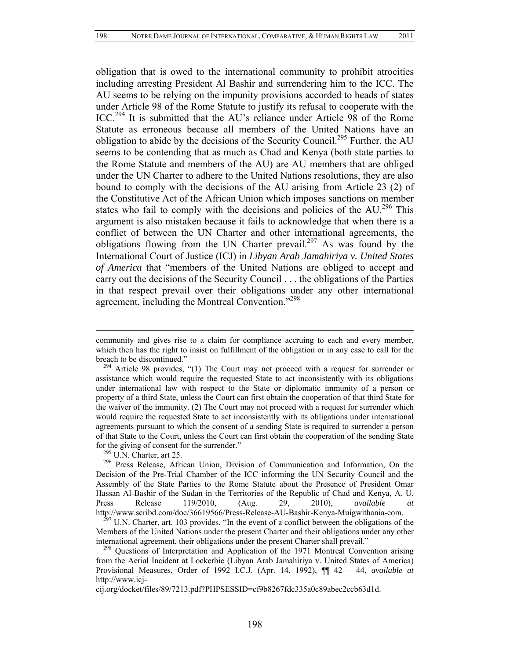obligation that is owed to the international community to prohibit atrocities including arresting President Al Bashir and surrendering him to the ICC. The AU seems to be relying on the impunity provisions accorded to heads of states under Article 98 of the Rome Statute to justify its refusal to cooperate with the ICC.294 It is submitted that the AU's reliance under Article 98 of the Rome Statute as erroneous because all members of the United Nations have an obligation to abide by the decisions of the Security Council.295 Further, the AU seems to be contending that as much as Chad and Kenya (both state parties to the Rome Statute and members of the AU) are AU members that are obliged under the UN Charter to adhere to the United Nations resolutions, they are also bound to comply with the decisions of the AU arising from Article 23 (2) of the Constitutive Act of the African Union which imposes sanctions on member states who fail to comply with the decisions and policies of the  $AU<sup>296</sup>$  This argument is also mistaken because it fails to acknowledge that when there is a conflict of between the UN Charter and other international agreements, the obligations flowing from the UN Charter prevail.<sup>297</sup> As was found by the International Court of Justice (ICJ) in *Libyan Arab Jamahiriya v. United States of America* that "members of the United Nations are obliged to accept and carry out the decisions of the Security Council . . . the obligations of the Parties in that respect prevail over their obligations under any other international agreement, including the Montreal Convention."<sup>298</sup>

<u> 1989 - Johann Stein, marwolaethau (b. 1989)</u>

community and gives rise to a claim for compliance accruing to each and every member, which then has the right to insist on fulfillment of the obligation or in any case to call for the breach to be discontinued."<br><sup>294</sup> Article 98 provides, "(1) The Court may not proceed with a request for surrender or

assistance which would require the requested State to act inconsistently with its obligations under international law with respect to the State or diplomatic immunity of a person or property of a third State, unless the Court can first obtain the cooperation of that third State for the waiver of the immunity. (2) The Court may not proceed with a request for surrender which would require the requested State to act inconsistently with its obligations under international agreements pursuant to which the consent of a sending State is required to surrender a person of that State to the Court, unless the Court can first obtain the cooperation of the sending State

for the giving of consent for the surrender."<br><sup>295</sup> U.N. Charter, art 25. <sup>296</sup> Press Release, African Union, Division of Communication and Information, On the Decision of the Pre-Trial Chamber of the ICC informing the UN Security Council and the Assembly of the State Parties to the Rome Statute about the Presence of President Omar Hassan Al-Bashir of the Sudan in the Territories of the Republic of Chad and Kenya, A. U. Press Release 119/2010, (Aug. 29, 2010), *available at* http://www.scribd.com/doc/36619566/Press-Release-AU-Bashir-Kenya-Muigwithania-com.<br><sup>297</sup> U.N. Charter, art. 103 provides, "In the event of a conflict between the obligations of the

Members of the United Nations under the present Charter and their obligations under any other international agreement, their obligations under the present Charter shall prevail." 298 Questions of Interpretation and Application of the 1971 Montreal Convention arising

from the Aerial Incident at Lockerbie (Libyan Arab Jamahiriya v. United States of America) Provisional Measures, Order of 1992 I.C.J. (Apr. 14, 1992), ¶¶ 42 – 44, *available at* http://www.icj-

cij.org/docket/files/89/7213.pdf?PHPSESSID=cf9b8267fdc335a0c89abec2ccb63d1d.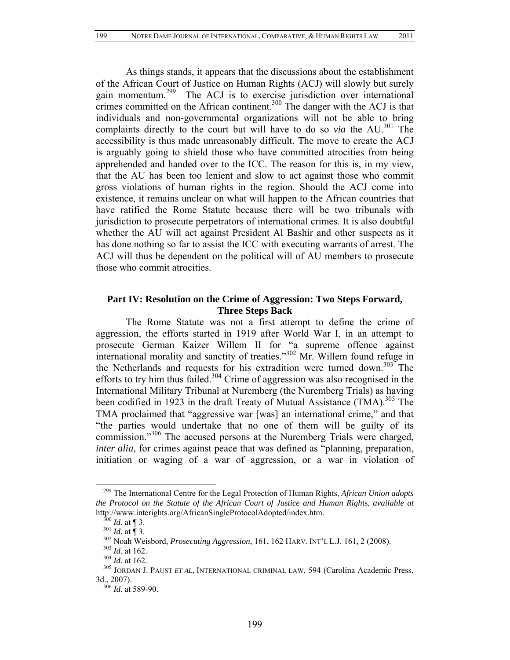As things stands, it appears that the discussions about the establishment of the African Court of Justice on Human Rights (ACJ) will slowly but surely gain momentum.299 The ACJ is to exercise jurisdiction over international crimes committed on the African continent.<sup>300</sup> The danger with the ACJ is that individuals and non-governmental organizations will not be able to bring complaints directly to the court but will have to do so *via* the AU.301 The accessibility is thus made unreasonably difficult. The move to create the ACJ is arguably going to shield those who have committed atrocities from being apprehended and handed over to the ICC. The reason for this is, in my view, that the AU has been too lenient and slow to act against those who commit gross violations of human rights in the region. Should the ACJ come into existence, it remains unclear on what will happen to the African countries that have ratified the Rome Statute because there will be two tribunals with jurisdiction to prosecute perpetrators of international crimes. It is also doubtful whether the AU will act against President Al Bashir and other suspects as it has done nothing so far to assist the ICC with executing warrants of arrest. The ACJ will thus be dependent on the political will of AU members to prosecute those who commit atrocities.

# **Part IV: Resolution on the Crime of Aggression: Two Steps Forward, Three Steps Back**

The Rome Statute was not a first attempt to define the crime of aggression, the efforts started in 1919 after World War I, in an attempt to prosecute German Kaizer Willem II for "a supreme offence against international morality and sanctity of treaties."<sup>302</sup> Mr. Willem found refuge in the Netherlands and requests for his extradition were turned down.<sup>303</sup> The efforts to try him thus failed.<sup>304</sup> Crime of aggression was also recognised in the International Military Tribunal at Nuremberg (the Nuremberg Trials) as having been codified in 1923 in the draft Treaty of Mutual Assistance  $(TMA)$ <sup>305</sup> The TMA proclaimed that "aggressive war [was] an international crime," and that "the parties would undertake that no one of them will be guilty of its commission."306 The accused persons at the Nuremberg Trials were charged, *inter alia*, for crimes against peace that was defined as "planning, preparation, initiation or waging of a war of aggression, or a war in violation of

 299 The International Centre for the Legal Protection of Human Rights, *African Union adopts the Protocol on the Statute of the African Court of Justice and Human Righ*ts, *available at*

http://www.interights.org/AfricanSingleProtocolAdopted/index.htm.<br><sup>300</sup> Id. at ¶ 3.<br><sup>301</sup> Id. at ¶ 3.<br><sup>302</sup> Noah Weisbord, *Prosecuting Aggression*, 161, 162 HARV. INT'L L.J. 161, 2 (2008).<br><sup>303</sup> Id. at 162.<br><sup>304</sup> Id. at

<sup>&</sup>lt;sup>306</sup> *Id.* at 589-90.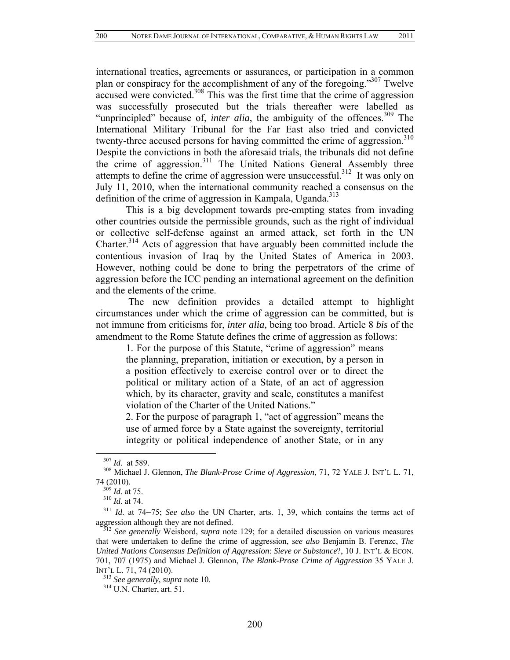international treaties, agreements or assurances, or participation in a common plan or conspiracy for the accomplishment of any of the foregoing."307 Twelve accused were convicted. $308$  This was the first time that the crime of aggression was successfully prosecuted but the trials thereafter were labelled as "unprincipled" because of, *inter alia*, the ambiguity of the offences.<sup>309</sup> The International Military Tribunal for the Far East also tried and convicted twenty-three accused persons for having committed the crime of aggression.<sup>310</sup> Despite the convictions in both the aforesaid trials, the tribunals did not define the crime of aggression.<sup>311</sup> The United Nations General Assembly three attempts to define the crime of aggression were unsuccessful.<sup>312</sup> It was only on July 11, 2010, when the international community reached a consensus on the definition of the crime of aggression in Kampala, Uganda. $313$ 

This is a big development towards pre-empting states from invading other countries outside the permissible grounds, such as the right of individual or collective self-defense against an armed attack, set forth in the UN Charter.314 Acts of aggression that have arguably been committed include the contentious invasion of Iraq by the United States of America in 2003. However, nothing could be done to bring the perpetrators of the crime of aggression before the ICC pending an international agreement on the definition and the elements of the crime.

 The new definition provides a detailed attempt to highlight circumstances under which the crime of aggression can be committed, but is not immune from criticisms for, *inter alia,* being too broad. Article 8 *bis* of the amendment to the Rome Statute defines the crime of aggression as follows:

1. For the purpose of this Statute, "crime of aggression" means the planning, preparation, initiation or execution, by a person in a position effectively to exercise control over or to direct the political or military action of a State, of an act of aggression which, by its character, gravity and scale, constitutes a manifest violation of the Charter of the United Nations."

2. For the purpose of paragraph 1, "act of aggression" means the use of armed force by a State against the sovereignty, territorial integrity or political independence of another State, or in any

<sup>&</sup>lt;sup>307</sup> *Id.* at 589.<br><sup>308</sup> Michael J. Glennon, *The Blank-Prose Crime of Aggression*, 71, 72 YALE J. INT'L L. 71,

<sup>74 (2010).&</sup>lt;br><sup>309</sup> *Id*. at 75.<br><sup>310</sup> *Id*. at 74–75; *See also* the UN Charter, arts. 1, 39, which contains the terms act of aggression although they are not defined.

<sup>&</sup>lt;sup>312</sup> See generally Weisbord, *supra* note 129; for a detailed discussion on various measures that were undertaken to define the crime of aggression, *see also* Benjamin B. Ferenzc, *The United Nations Consensus Definition of Aggression*: *Sieve or Substance*?, 10 J. INT'L & ECON. 701, 707 (1975) and Michael J. Glennon, *The Blank-Prose Crime of Aggression* 35 YALE J. INT'L L. 71, 74 (2010). 313 *See generally*, *supra* note 10. 314 U.N. Charter, art. 51.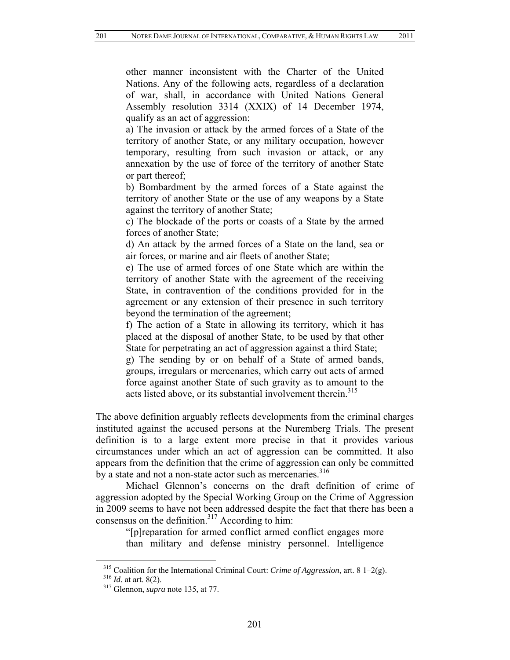other manner inconsistent with the Charter of the United Nations. Any of the following acts, regardless of a declaration of war, shall, in accordance with United Nations General Assembly resolution 3314 (XXIX) of 14 December 1974, qualify as an act of aggression:

a) The invasion or attack by the armed forces of a State of the territory of another State, or any military occupation, however temporary, resulting from such invasion or attack, or any annexation by the use of force of the territory of another State or part thereof;

b) Bombardment by the armed forces of a State against the territory of another State or the use of any weapons by a State against the territory of another State;

c) The blockade of the ports or coasts of a State by the armed forces of another State;

d) An attack by the armed forces of a State on the land, sea or air forces, or marine and air fleets of another State;

e) The use of armed forces of one State which are within the territory of another State with the agreement of the receiving State, in contravention of the conditions provided for in the agreement or any extension of their presence in such territory beyond the termination of the agreement;

f) The action of a State in allowing its territory, which it has placed at the disposal of another State, to be used by that other State for perpetrating an act of aggression against a third State;

g) The sending by or on behalf of a State of armed bands, groups, irregulars or mercenaries, which carry out acts of armed force against another State of such gravity as to amount to the acts listed above, or its substantial involvement therein.<sup>315</sup>

The above definition arguably reflects developments from the criminal charges instituted against the accused persons at the Nuremberg Trials. The present definition is to a large extent more precise in that it provides various circumstances under which an act of aggression can be committed. It also appears from the definition that the crime of aggression can only be committed by a state and not a non-state actor such as mercenaries.<sup>316</sup>

Michael Glennon's concerns on the draft definition of crime of aggression adopted by the Special Working Group on the Crime of Aggression in 2009 seems to have not been addressed despite the fact that there has been a consensus on the definition.<sup>317</sup> According to him:

"[p]reparation for armed conflict armed conflict engages more than military and defense ministry personnel. Intelligence

 <sup>315</sup> Coalition for the International Criminal Court: *Crime of Aggression*, art. 8 1–2(g). 316 *Id*. at art. 8(2). 317 Glennon, *supra* note 135, at 77.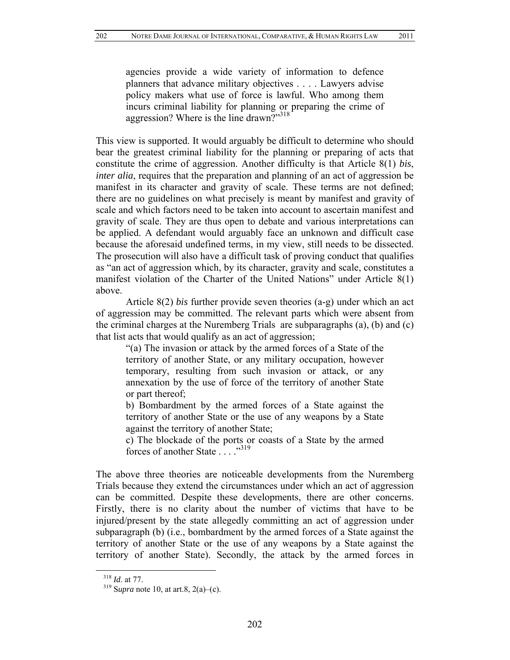agencies provide a wide variety of information to defence planners that advance military objectives . . . . Lawyers advise policy makers what use of force is lawful. Who among them incurs criminal liability for planning or preparing the crime of aggression? Where is the line drawn?"<sup>318</sup>

This view is supported. It would arguably be difficult to determine who should bear the greatest criminal liability for the planning or preparing of acts that constitute the crime of aggression. Another difficulty is that Article 8(1) *bis*, *inter alia*, requires that the preparation and planning of an act of aggression be manifest in its character and gravity of scale. These terms are not defined; there are no guidelines on what precisely is meant by manifest and gravity of scale and which factors need to be taken into account to ascertain manifest and gravity of scale. They are thus open to debate and various interpretations can be applied. A defendant would arguably face an unknown and difficult case because the aforesaid undefined terms, in my view, still needs to be dissected. The prosecution will also have a difficult task of proving conduct that qualifies as "an act of aggression which, by its character, gravity and scale, constitutes a manifest violation of the Charter of the United Nations" under Article 8(1) above.

Article 8(2) *bis* further provide seven theories (a-g) under which an act of aggression may be committed. The relevant parts which were absent from the criminal charges at the Nuremberg Trials are subparagraphs (a), (b) and (c) that list acts that would qualify as an act of aggression;

"(a) The invasion or attack by the armed forces of a State of the territory of another State, or any military occupation, however temporary, resulting from such invasion or attack, or any annexation by the use of force of the territory of another State or part thereof;

b) Bombardment by the armed forces of a State against the territory of another State or the use of any weapons by a State against the territory of another State;

c) The blockade of the ports or coasts of a State by the armed forces of another State . . . . . . . 319

The above three theories are noticeable developments from the Nuremberg Trials because they extend the circumstances under which an act of aggression can be committed. Despite these developments, there are other concerns. Firstly, there is no clarity about the number of victims that have to be injured/present by the state allegedly committing an act of aggression under subparagraph (b) (i.e., bombardment by the armed forces of a State against the territory of another State or the use of any weapons by a State against the territory of another State). Secondly, the attack by the armed forces in

 <sup>318</sup> *Id*. at 77. 319 S*upra* note 10, at art.8, 2(a)–(c).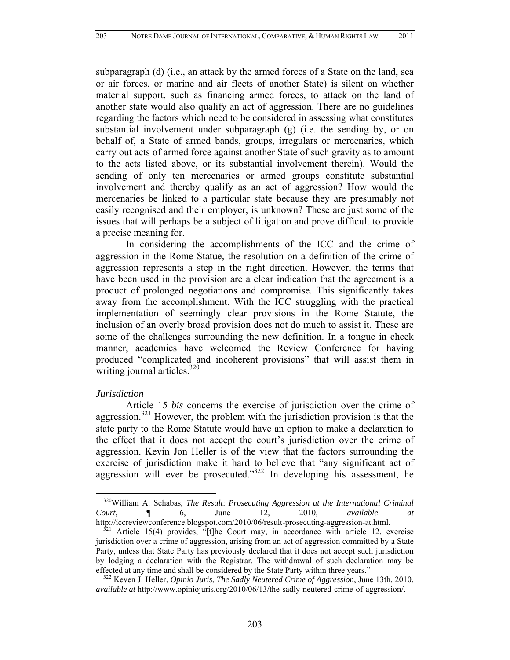subparagraph (d) (i.e., an attack by the armed forces of a State on the land, sea or air forces, or marine and air fleets of another State) is silent on whether material support, such as financing armed forces, to attack on the land of another state would also qualify an act of aggression. There are no guidelines regarding the factors which need to be considered in assessing what constitutes substantial involvement under subparagraph (g) (i.e. the sending by, or on behalf of, a State of armed bands, groups, irregulars or mercenaries, which carry out acts of armed force against another State of such gravity as to amount to the acts listed above, or its substantial involvement therein). Would the sending of only ten mercenaries or armed groups constitute substantial involvement and thereby qualify as an act of aggression? How would the mercenaries be linked to a particular state because they are presumably not easily recognised and their employer, is unknown? These are just some of the

issues that will perhaps be a subject of litigation and prove difficult to provide

a precise meaning for. In considering the accomplishments of the ICC and the crime of aggression in the Rome Statue, the resolution on a definition of the crime of aggression represents a step in the right direction. However, the terms that have been used in the provision are a clear indication that the agreement is a product of prolonged negotiations and compromise. This significantly takes away from the accomplishment. With the ICC struggling with the practical implementation of seemingly clear provisions in the Rome Statute, the inclusion of an overly broad provision does not do much to assist it. These are some of the challenges surrounding the new definition. In a tongue in cheek manner, academics have welcomed the Review Conference for having produced "complicated and incoherent provisions" that will assist them in writing journal articles. $320$ 

#### *Jurisdiction*

Article 15 *bis* concerns the exercise of jurisdiction over the crime of aggression.<sup>321</sup> However, the problem with the jurisdiction provision is that the state party to the Rome Statute would have an option to make a declaration to the effect that it does not accept the court's jurisdiction over the crime of aggression. Kevin Jon Heller is of the view that the factors surrounding the exercise of jurisdiction make it hard to believe that "any significant act of aggression will ever be prosecuted." $322$  In developing his assessment, he

 320William A. Schabas, *The Result*: *Prosecuting Aggression at the International Criminal Court*, ¶ 6, June 12, 2010, *available at*

http://iccreviewconference.blogspot.com/2010/06/result-prosecuting-aggression-at.html.<br><sup>321</sup> Article 15(4) provides, "[t]he Court may, in accordance with article 12, exercise jurisdiction over a crime of aggression, arising from an act of aggression committed by a State Party, unless that State Party has previously declared that it does not accept such jurisdiction by lodging a declaration with the Registrar. The withdrawal of such declaration may be effected at any time and shall be considered by the State Party within three years." 322 Keven J. Heller, *Opinio Juris*, *The Sadly Neutered Crime of Aggression*, June 13th, 2010,

*available at* http://www.opiniojuris.org/2010/06/13/the-sadly-neutered-crime-of-aggression/.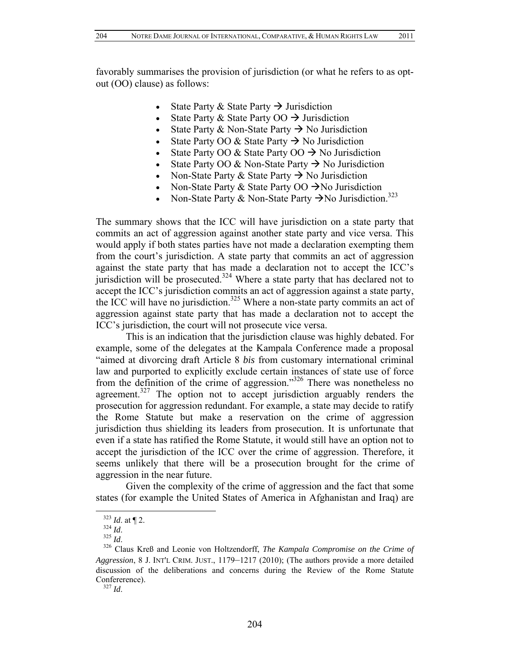favorably summarises the provision of jurisdiction (or what he refers to as optout (OO) clause) as follows:

- State Party & State Party  $\rightarrow$  Jurisdiction
- State Party & State Party  $OO \rightarrow$  Jurisdiction
- State Party & Non-State Party  $\rightarrow$  No Jurisdiction
- State Party OO & State Party  $\rightarrow$  No Jurisdiction
- State Party OO & State Party OO  $\rightarrow$  No Jurisdiction
- State Party OO & Non-State Party  $\rightarrow$  No Jurisdiction
- Non-State Party  $\&$  State Party  $\rightarrow$  No Jurisdiction
- Non-State Party & State Party OO  $\rightarrow$  No Jurisdiction
- Non-State Party & Non-State Party  $\rightarrow$  No Jurisdiction.<sup>323</sup>

The summary shows that the ICC will have jurisdiction on a state party that commits an act of aggression against another state party and vice versa. This would apply if both states parties have not made a declaration exempting them from the court's jurisdiction. A state party that commits an act of aggression against the state party that has made a declaration not to accept the ICC's jurisdiction will be prosecuted. $324$  Where a state party that has declared not to accept the ICC's jurisdiction commits an act of aggression against a state party, the ICC will have no jurisdiction.<sup>325</sup> Where a non-state party commits an act of aggression against state party that has made a declaration not to accept the ICC's jurisdiction, the court will not prosecute vice versa.

This is an indication that the jurisdiction clause was highly debated. For example, some of the delegates at the Kampala Conference made a proposal "aimed at divorcing draft Article 8 *bis* from customary international criminal law and purported to explicitly exclude certain instances of state use of force from the definition of the crime of aggression."326 There was nonetheless no agreement.<sup>327</sup> The option not to accept jurisdiction arguably renders the prosecution for aggression redundant. For example, a state may decide to ratify the Rome Statute but make a reservation on the crime of aggression jurisdiction thus shielding its leaders from prosecution. It is unfortunate that even if a state has ratified the Rome Statute, it would still have an option not to accept the jurisdiction of the ICC over the crime of aggression. Therefore, it seems unlikely that there will be a prosecution brought for the crime of aggression in the near future.

Given the complexity of the crime of aggression and the fact that some states (for example the United States of America in Afghanistan and Iraq) are

<sup>&</sup>lt;sup>323</sup> *Id.* at ¶ 2.<br><sup>324</sup> *Id.*<br><sup>325</sup> *Id.* 325 *Id.* 326 Claus Kreß and Leonie von Holtzendorff, *The Kampala Compromise on the Crime of Aggression*, 8 J. INT'L CRIM. JUST., 1179–1217 (2010); (The authors provide a more detailed discussion of the deliberations and concerns during the Review of the Rome Statute Confererence). 327 *Id*.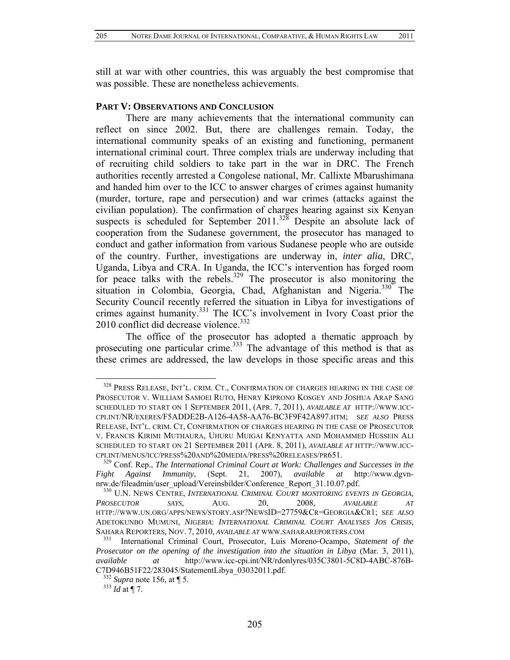still at war with other countries, this was arguably the best compromise that was possible. These are nonetheless achievements.

## **PART V: OBSERVATIONS AND CONCLUSION**

There are many achievements that the international community can reflect on since 2002. But, there are challenges remain. Today, the international community speaks of an existing and functioning, permanent international criminal court. Three complex trials are underway including that of recruiting child soldiers to take part in the war in DRC. The French authorities recently arrested a Congolese national, Mr. Callixte Mbarushimana and handed him over to the ICC to answer charges of crimes against humanity (murder, torture, rape and persecution) and war crimes (attacks against the civilian population). The confirmation of charges hearing against six Kenyan suspects is scheduled for September 2011.<sup>328</sup> Despite an absolute lack of cooperation from the Sudanese government, the prosecutor has managed to conduct and gather information from various Sudanese people who are outside of the country. Further, investigations are underway in, *inter alia*, DRC, Uganda, Libya and CRA. In Uganda, the ICC's intervention has forged room for peace talks with the rebels.<sup>329</sup> The prosecutor is also monitoring the situation in Colombia, Georgia, Chad, Afghanistan and Nigeria.<sup>330</sup> The Security Council recently referred the situation in Libya for investigations of crimes against humanity.<sup>331</sup> The ICC's involvement in Ivory Coast prior the 2010 conflict did decrease violence.<sup>332</sup>

The office of the prosecutor has adopted a thematic approach by prosecuting one particular crime.<sup>333</sup> The advantage of this method is that as these crimes are addressed, the law develops in those specific areas and this

<sup>&</sup>lt;sup>328</sup> PRESS RELEASE, INT'L. CRIM. CT., CONFIRMATION OF CHARGES HEARING IN THE CASE OF PROSECUTOR V. WILLIAM SAMOEI RUTO, HENRY KIPRONO KOSGEY AND JOSHUA ARAP SANG SCHEDULED TO START ON 1 SEPTEMBER 2011, (APR. 7, 2011), *AVAILABLE AT* HTTP://WWW.ICC-CPI.INT/NR/EXERES/F5ADDE2B-A126-4A58-AA76-BC3F9F42A897.HTM; S*EE ALSO* PRESS RELEASE, INT'L. CRIM. CT, CONFIRMATION OF CHARGES HEARING IN THE CASE OF PROSECUTOR V. FRANCIS KIRIMI MUTHAURA, UHURU MUIGAI KENYATTA AND MOHAMMED HUSSEIN ALI SCHEDULED TO START ON 21 SEPTEMBER 2011 (APR. 8, 2011), *AVAILABLE AT* HTTP://WWW.ICC-CPI.INT/MENUS/ICC/PRESS%20AND%20MEDIA/PRESS%20RELEASES/PR651. 329 Conf. Rep., *The International Criminal Court at Work: Challenges and Successes in the* 

*Fight Against Immunity*, (Sept. 21, 2007), *available at* http://www.dgvnnrw.de/fileadmin/user\_upload/Vereinsbilder/Conference\_Report\_31.10.07.pdf. <sup>330</sup> U.N. NEWS CENTRE, *INTERNATIONAL CRIMINAL COURT MONITORING EVENTS IN GEORGIA,*

*PROSECUTOR SAYS*, AUG. 20, 2008, *AVAILABLE AT* HTTP://WWW.UN.ORG/APPS/NEWS/STORY.ASP?NEWSID=27759&CR=GEORGIA&CR1; S*EE ALSO* ADETOKUNBO MUMUNI, *NIGERIA*: *INTERNATIONAL CRIMINAL COURT ANALYSES JOS CRISIS*, SAHARA REPORTERS, NOV. 7, 2010, *AVAILABLE AT* WWW.SAHARAREPORTERS.COM<br><sup>331</sup> International Criminal Court Prosecutor Luis Moreno-Ocampo, Sta

<sup>331</sup> International Criminal Court, Prosecutor, Luis Moreno‐Ocampo, *Statement of the Prosecutor on the opening of the investigation into the situation in Libya* (Mar. 3, 2011), *available at* http://www.icc-cpi.int/NR/rdonlyres/035C3801-5C8D-4ABC-876B-C7D946B51F22/283045/StatementLibya\_03032011.pdf. 332 *Supra* note 156, at ¶ 5. 333 *Id* at ¶ 7.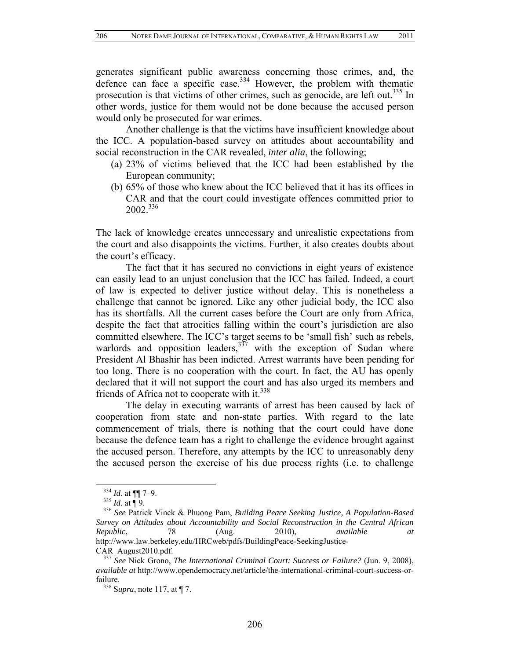generates significant public awareness concerning those crimes, and, the defence can face a specific case.<sup>334</sup> However, the problem with thematic prosecution is that victims of other crimes, such as genocide, are left out.<sup>335</sup> In other words, justice for them would not be done because the accused person would only be prosecuted for war crimes.

Another challenge is that the victims have insufficient knowledge about the ICC. A population-based survey on attitudes about accountability and social reconstruction in the CAR revealed, *inter alia*, the following;

- (a) 23% of victims believed that the ICC had been established by the European community;
- (b) 65% of those who knew about the ICC believed that it has its offices in CAR and that the court could investigate offences committed prior to  $2002^{336}$

The lack of knowledge creates unnecessary and unrealistic expectations from the court and also disappoints the victims. Further, it also creates doubts about the court's efficacy.

The fact that it has secured no convictions in eight years of existence can easily lead to an unjust conclusion that the ICC has failed. Indeed, a court of law is expected to deliver justice without delay. This is nonetheless a challenge that cannot be ignored. Like any other judicial body, the ICC also has its shortfalls. All the current cases before the Court are only from Africa, despite the fact that atrocities falling within the court's jurisdiction are also committed elsewhere. The ICC's target seems to be 'small fish' such as rebels, warlords and opposition leaders,  $337$  with the exception of Sudan where President Al Bhashir has been indicted. Arrest warrants have been pending for too long. There is no cooperation with the court. In fact, the AU has openly declared that it will not support the court and has also urged its members and friends of Africa not to cooperate with it. $338$ 

The delay in executing warrants of arrest has been caused by lack of cooperation from state and non-state parties. With regard to the late commencement of trials, there is nothing that the court could have done because the defence team has a right to challenge the evidence brought against the accused person. Therefore, any attempts by the ICC to unreasonably deny the accused person the exercise of his due process rights (i.e. to challenge

 <sup>334</sup> *Id*. at ¶¶ 7–9. 335 *Id*. at ¶ 9. 336 *See* Patrick Vinck & Phuong Pam, *Building Peace Seeking Justice, A Population-Based Survey on Attitudes about Accountability and Social Reconstruction in the Central African Republic*, 78 (Aug. 2010), *available at* http://www.law.berkeley.edu/HRCweb/pdfs/BuildingPeace-SeekingJustice-

CAR\_August2010.pdf. 337 *See* Nick Grono, *The International Criminal Court: Success or Failure?* (Jun. 9, 2008), *available at* http://www.opendemocracy.net/article/the-international-criminal-court-success-orfailure.<br> $\frac{338}{338}$  Supra, note 117, at  $\P$  7.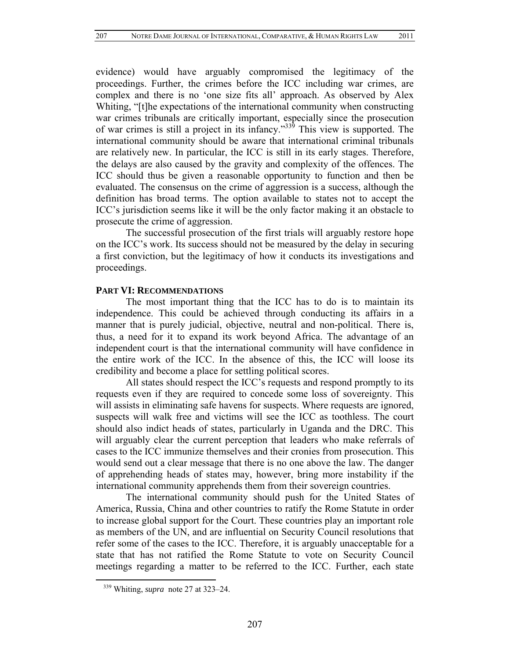evidence) would have arguably compromised the legitimacy of the proceedings. Further, the crimes before the ICC including war crimes, are complex and there is no 'one size fits all' approach. As observed by Alex Whiting, "[t]he expectations of the international community when constructing war crimes tribunals are critically important, especially since the prosecution of war crimes is still a project in its infancy."339 This view is supported. The international community should be aware that international criminal tribunals are relatively new. In particular, the ICC is still in its early stages. Therefore, the delays are also caused by the gravity and complexity of the offences. The ICC should thus be given a reasonable opportunity to function and then be evaluated. The consensus on the crime of aggression is a success, although the definition has broad terms. The option available to states not to accept the

prosecute the crime of aggression. The successful prosecution of the first trials will arguably restore hope on the ICC's work. Its success should not be measured by the delay in securing a first conviction, but the legitimacy of how it conducts its investigations and proceedings.

ICC's jurisdiction seems like it will be the only factor making it an obstacle to

#### **PART VI: RECOMMENDATIONS**

The most important thing that the ICC has to do is to maintain its independence. This could be achieved through conducting its affairs in a manner that is purely judicial, objective, neutral and non-political. There is, thus, a need for it to expand its work beyond Africa. The advantage of an independent court is that the international community will have confidence in the entire work of the ICC. In the absence of this, the ICC will loose its credibility and become a place for settling political scores.

All states should respect the ICC's requests and respond promptly to its requests even if they are required to concede some loss of sovereignty. This will assists in eliminating safe havens for suspects. Where requests are ignored, suspects will walk free and victims will see the ICC as toothless. The court should also indict heads of states, particularly in Uganda and the DRC. This will arguably clear the current perception that leaders who make referrals of cases to the ICC immunize themselves and their cronies from prosecution. This would send out a clear message that there is no one above the law. The danger of apprehending heads of states may, however, bring more instability if the international community apprehends them from their sovereign countries.

The international community should push for the United States of America, Russia, China and other countries to ratify the Rome Statute in order to increase global support for the Court. These countries play an important role as members of the UN, and are influential on Security Council resolutions that refer some of the cases to the ICC. Therefore, it is arguably unacceptable for a state that has not ratified the Rome Statute to vote on Security Council meetings regarding a matter to be referred to the ICC. Further, each state

 339 Whiting, *supra* note 27 at 323–24.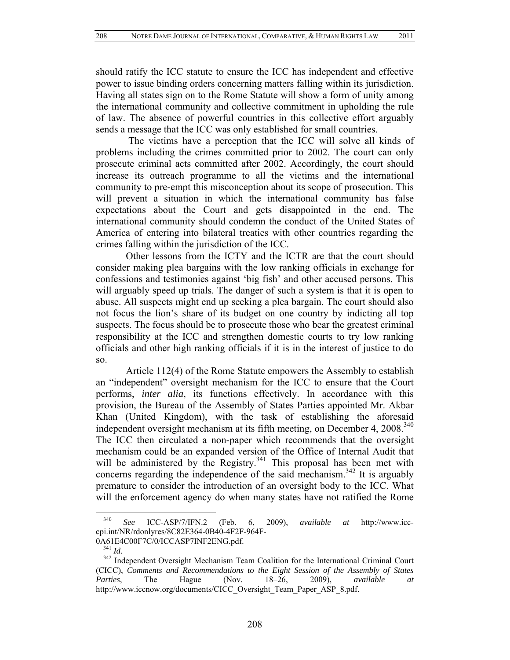should ratify the ICC statute to ensure the ICC has independent and effective power to issue binding orders concerning matters falling within its jurisdiction. Having all states sign on to the Rome Statute will show a form of unity among the international community and collective commitment in upholding the rule of law. The absence of powerful countries in this collective effort arguably

sends a message that the ICC was only established for small countries.

 The victims have a perception that the ICC will solve all kinds of problems including the crimes committed prior to 2002. The court can only prosecute criminal acts committed after 2002. Accordingly, the court should increase its outreach programme to all the victims and the international community to pre-empt this misconception about its scope of prosecution. This will prevent a situation in which the international community has false expectations about the Court and gets disappointed in the end. The international community should condemn the conduct of the United States of America of entering into bilateral treaties with other countries regarding the crimes falling within the jurisdiction of the ICC.

Other lessons from the ICTY and the ICTR are that the court should consider making plea bargains with the low ranking officials in exchange for confessions and testimonies against 'big fish' and other accused persons. This will arguably speed up trials. The danger of such a system is that it is open to abuse. All suspects might end up seeking a plea bargain. The court should also not focus the lion's share of its budget on one country by indicting all top suspects. The focus should be to prosecute those who bear the greatest criminal responsibility at the ICC and strengthen domestic courts to try low ranking officials and other high ranking officials if it is in the interest of justice to do so.

Article 112(4) of the Rome Statute empowers the Assembly to establish an "independent" oversight mechanism for the ICC to ensure that the Court performs, *inter alia*, its functions effectively. In accordance with this provision, the Bureau of the Assembly of States Parties appointed Mr. Akbar Khan (United Kingdom), with the task of establishing the aforesaid independent oversight mechanism at its fifth meeting, on December 4,  $2008^{340}$ The ICC then circulated a non-paper which recommends that the oversight mechanism could be an expanded version of the Office of Internal Audit that will be administered by the Registry.<sup>341</sup> This proposal has been met with concerns regarding the independence of the said mechanism.<sup>342</sup> It is arguably premature to consider the introduction of an oversight body to the ICC. What will the enforcement agency do when many states have not ratified the Rome

 <sup>340</sup> *See* ICC-ASP/7/IFN.2 (Feb. 6, 2009), *available at* http://www.icccpi.int/NR/rdonlyres/8C82E364-0B40-4F2F-964F-

<sup>0</sup>A61E4C00F7C/0/ICCASP7INF2ENG.pdf.<br><sup>341</sup> *Id*. 342 Independent Oversight Mechanism Team Coalition for the International Criminal Court (CICC), *Comments and Recommendations to the Eight Session of the Assembly of States Parties*, The Hague (Nov. 18–26, 2009), *available at* http://www.iccnow.org/documents/CICC\_Oversight\_Team\_Paper\_ASP\_8.pdf.